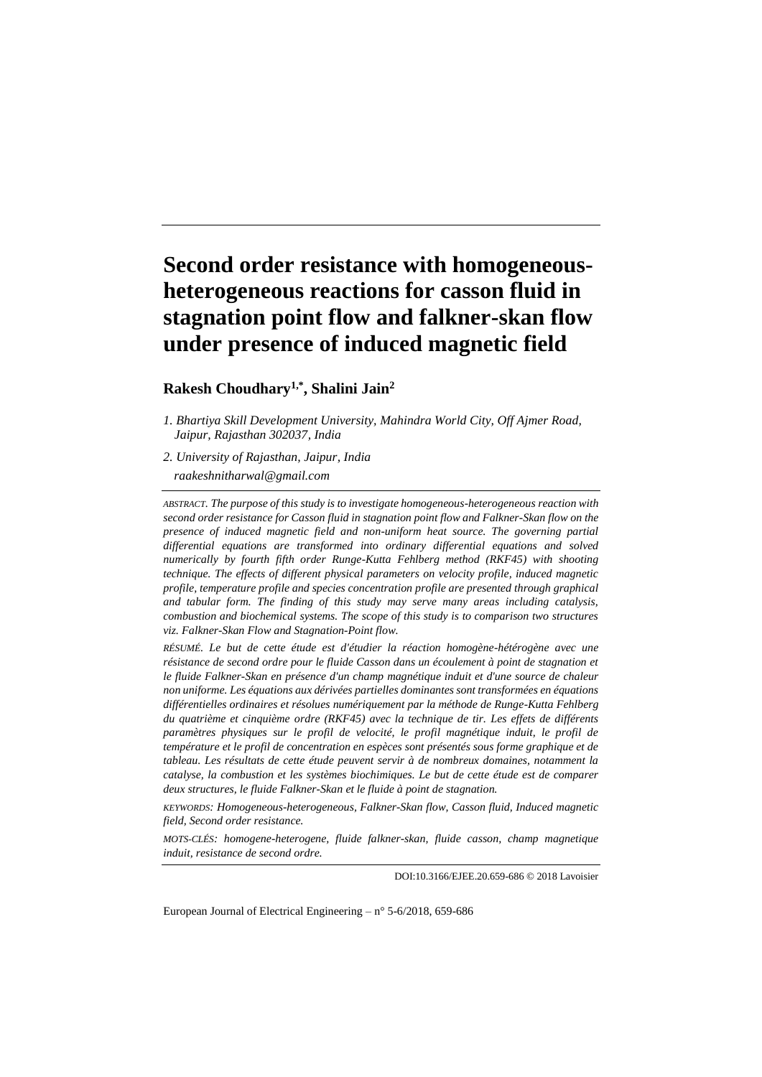# **Second order resistance with homogeneousheterogeneous reactions for casson fluid in stagnation point flow and falkner-skan flow under presence of induced magnetic field**

# **Rakesh Choudhary1,\*, Shalini Jain<sup>2</sup>**

*2. University of Rajasthan, Jaipur, India raakeshnitharwal@gmail.com*

*ABSTRACT. The purpose of this study is to investigate homogeneous-heterogeneous reaction with second order resistance for Casson fluid in stagnation point flow and Falkner-Skan flow on the presence of induced magnetic field and non-uniform heat source. The governing partial differential equations are transformed into ordinary differential equations and solved numerically by fourth fifth order Runge-Kutta Fehlberg method (RKF45) with shooting technique. The effects of different physical parameters on velocity profile, induced magnetic profile, temperature profile and species concentration profile are presented through graphical and tabular form. The finding of this study may serve many areas including catalysis, combustion and biochemical systems. The scope of this study is to comparison two structures viz. Falkner-Skan Flow and Stagnation-Point flow.*

*RÉSUMÉ. Le but de cette étude est d'étudier la réaction homogène-hétérogène avec une*  résistance de second ordre pour le fluide Casson dans un écoulement à point de stagnation et *le fluide Falkner-Skan en présence d'un champ magnétique induit et d'une source de chaleur non uniforme. Les équations aux dérivées partielles dominantes sont transformées en équations différentielles ordinaires et résolues numériquement par la méthode de Runge-Kutta Fehlberg du quatrième et cinquième ordre (RKF45) avec la technique de tir. Les effets de différents paramètres physiques sur le profil de velocité, le profil magnétique induit, le profil de température et le profil de concentration en espèces sont présentés sous forme graphique et de tableau. Les résultats de cette étude peuvent servir à de nombreux domaines, notamment la catalyse, la combustion et les systèmes biochimiques. Le but de cette étude est de comparer deux structures, le fluide Falkner-Skan et le fluide à point de stagnation.*

*KEYWORDS: Homogeneous-heterogeneous, Falkner-Skan flow, Casson fluid, Induced magnetic field, Second order resistance.*

*MOTS-CLÉS: homogene-heterogene, fluide falkner-skan, fluide casson, champ magnetique induit, resistance de second ordre.*

DOI:10.3166/EJEE.20.659-686 © 2018 Lavoisier

European Journal of Electrical Engineering –  $n^{\circ}$  5-6/2018, 659-686

*<sup>1.</sup> Bhartiya Skill Development University, Mahindra World City, Off Ajmer Road, Jaipur, Rajasthan 302037, India*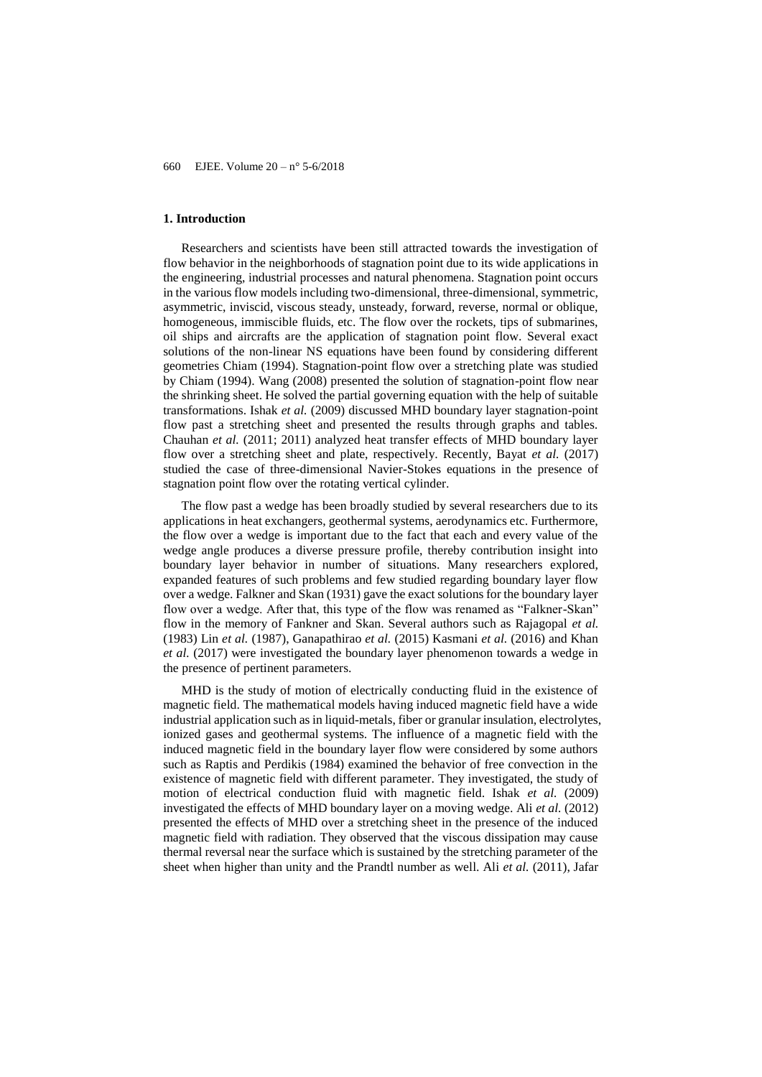#### **1. Introduction**

Researchers and scientists have been still attracted towards the investigation of flow behavior in the neighborhoods of stagnation point due to its wide applications in the engineering, industrial processes and natural phenomena. Stagnation point occurs in the various flow models including two-dimensional, three-dimensional, symmetric, asymmetric, inviscid, viscous steady, unsteady, forward, reverse, normal or oblique, homogeneous, immiscible fluids, etc. The flow over the rockets, tips of submarines, oil ships and aircrafts are the application of stagnation point flow. Several exact solutions of the non-linear NS equations have been found by considering different geometries Chiam (1994). Stagnation-point flow over a stretching plate was studied by Chiam (1994). Wang (2008) presented the solution of stagnation-point flow near the shrinking sheet. He solved the partial governing equation with the help of suitable transformations. Ishak *et al.* (2009) discussed MHD boundary layer stagnation-point flow past a stretching sheet and presented the results through graphs and tables. Chauhan *et al.* (2011; 2011) analyzed heat transfer effects of MHD boundary layer flow over a stretching sheet and plate, respectively. Recently, Bayat *et al.* (2017) studied the case of three-dimensional Navier-Stokes equations in the presence of stagnation point flow over the rotating vertical cylinder.

The flow past a wedge has been broadly studied by several researchers due to its applications in heat exchangers, geothermal systems, aerodynamics etc. Furthermore, the flow over a wedge is important due to the fact that each and every value of the wedge angle produces a diverse pressure profile, thereby contribution insight into boundary layer behavior in number of situations. Many researchers explored, expanded features of such problems and few studied regarding boundary layer flow over a wedge. Falkner and Skan (1931) gave the exact solutions for the boundary layer flow over a wedge. After that, this type of the flow was renamed as "Falkner-Skan" flow in the memory of Fankner and Skan. Several authors such as Rajagopal *et al.* (1983) Lin *et al.* (1987), Ganapathirao *et al.* (2015) Kasmani *et al.* (2016) and Khan *et al.* (2017) were investigated the boundary layer phenomenon towards a wedge in the presence of pertinent parameters.

MHD is the study of motion of electrically conducting fluid in the existence of magnetic field. The mathematical models having induced magnetic field have a wide industrial application such as in liquid-metals, fiber or granular insulation, electrolytes, ionized gases and geothermal systems. The influence of a magnetic field with the induced magnetic field in the boundary layer flow were considered by some authors such as Raptis and Perdikis (1984) examined the behavior of free convection in the existence of magnetic field with different parameter. They investigated, the study of motion of electrical conduction fluid with magnetic field. Ishak *et al.* (2009) investigated the effects of MHD boundary layer on a moving wedge. Ali *et al.* (2012) presented the effects of MHD over a stretching sheet in the presence of the induced magnetic field with radiation. They observed that the viscous dissipation may cause thermal reversal near the surface which is sustained by the stretching parameter of the sheet when higher than unity and the Prandtl number as well. Ali *et al.* (2011), Jafar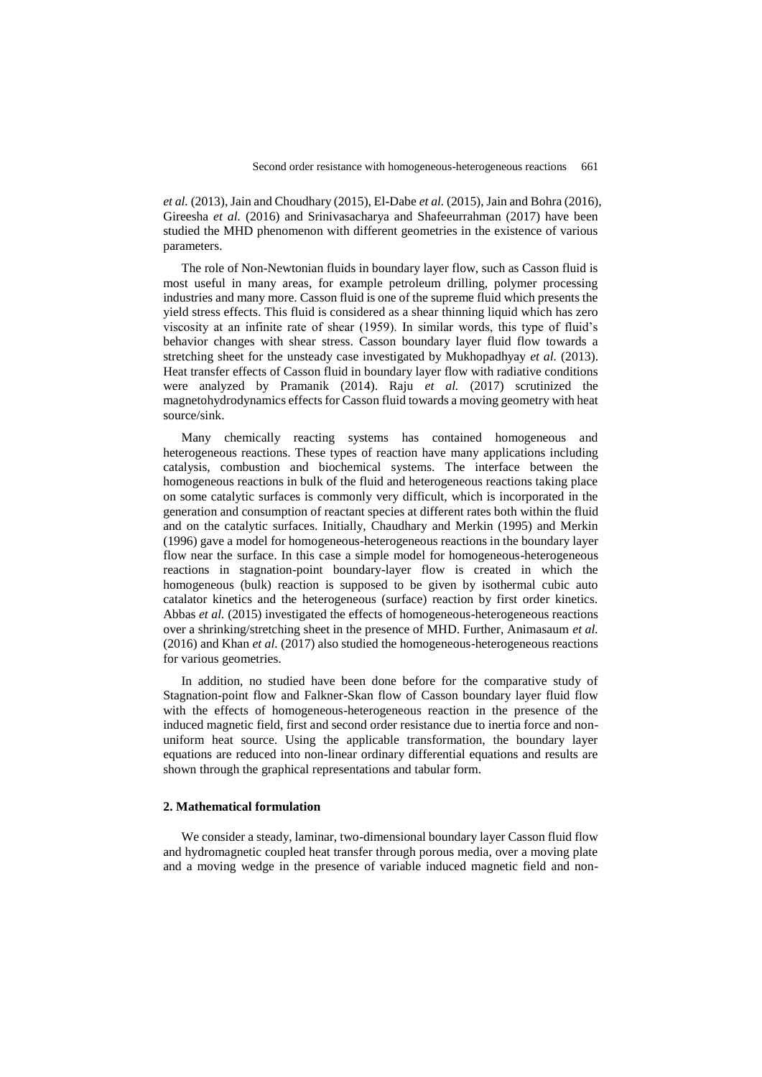*et al.* (2013), Jain and Choudhary (2015), El-Dabe *et al.* (2015), Jain and Bohra (2016), Gireesha *et al.* (2016) and Srinivasacharya and Shafeeurrahman (2017) have been studied the MHD phenomenon with different geometries in the existence of various parameters.

The role of Non-Newtonian fluids in boundary layer flow, such as Casson fluid is most useful in many areas, for example petroleum drilling, polymer processing industries and many more. Casson fluid is one of the supreme fluid which presents the yield stress effects. This fluid is considered as a shear thinning liquid which has zero viscosity at an infinite rate of shear (1959). In similar words, this type of fluid's behavior changes with shear stress. Casson boundary layer fluid flow towards a stretching sheet for the unsteady case investigated by Mukhopadhyay *et al.* (2013). Heat transfer effects of Casson fluid in boundary layer flow with radiative conditions were analyzed by Pramanik (2014). Raju *et al.* (2017) scrutinized the magnetohydrodynamics effects for Casson fluid towards a moving geometry with heat source/sink.

Many chemically reacting systems has contained homogeneous and heterogeneous reactions. These types of reaction have many applications including catalysis, combustion and biochemical systems. The interface between the homogeneous reactions in bulk of the fluid and heterogeneous reactions taking place on some catalytic surfaces is commonly very difficult, which is incorporated in the generation and consumption of reactant species at different rates both within the fluid and on the catalytic surfaces. Initially, Chaudhary and Merkin (1995) and Merkin (1996) gave a model for homogeneous-heterogeneous reactions in the boundary layer flow near the surface. In this case a simple model for homogeneous-heterogeneous reactions in stagnation-point boundary-layer flow is created in which the homogeneous (bulk) reaction is supposed to be given by isothermal cubic auto catalator kinetics and the heterogeneous (surface) reaction by first order kinetics. Abbas *et al.* (2015) investigated the effects of homogeneous-heterogeneous reactions over a shrinking/stretching sheet in the presence of MHD. Further, Animasaum *et al.* (2016) and Khan *et al.* (2017) also studied the homogeneous-heterogeneous reactions for various geometries.

In addition, no studied have been done before for the comparative study of Stagnation-point flow and Falkner-Skan flow of Casson boundary layer fluid flow with the effects of homogeneous-heterogeneous reaction in the presence of the induced magnetic field, first and second order resistance due to inertia force and nonuniform heat source. Using the applicable transformation, the boundary layer equations are reduced into non-linear ordinary differential equations and results are shown through the graphical representations and tabular form.

#### **2. Mathematical formulation**

We consider a steady, laminar, two-dimensional boundary layer Casson fluid flow and hydromagnetic coupled heat transfer through porous media, over a moving plate and a moving wedge in the presence of variable induced magnetic field and non-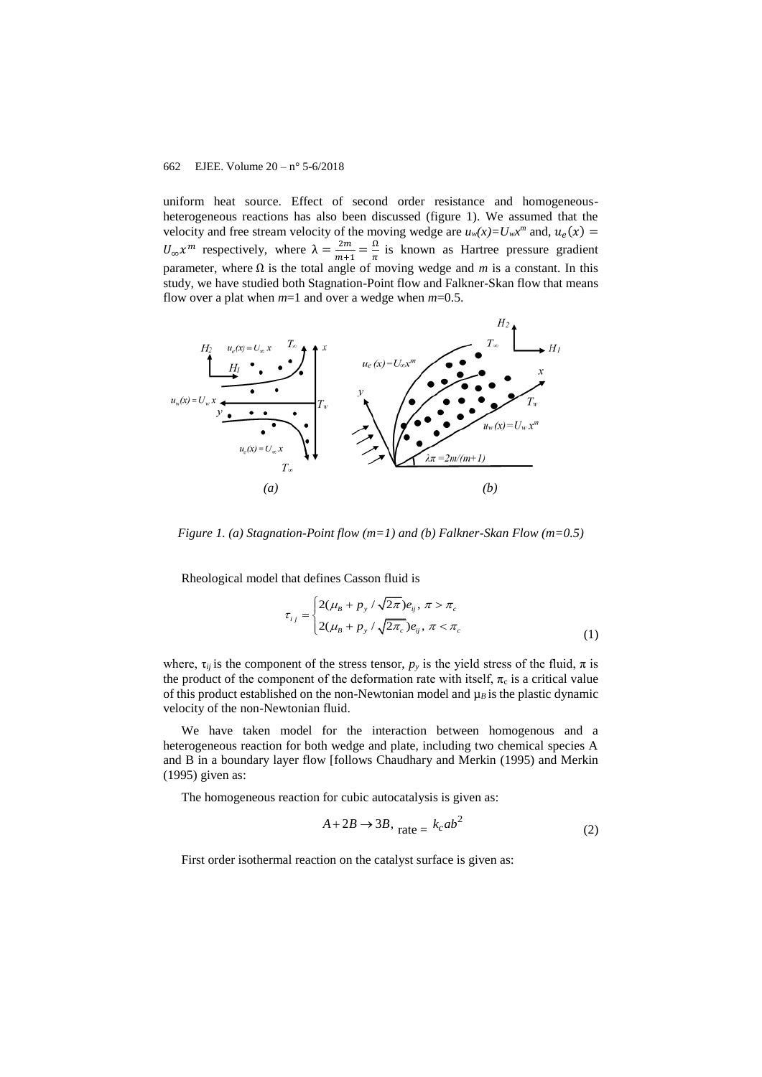uniform heat source. Effect of second order resistance and homogeneousheterogeneous reactions has also been discussed (figure 1). We assumed that the velocity and free stream velocity of the moving wedge are  $u_w(x) = U_w x^m$  and,  $u_e(x) =$  $U_{\infty} \chi^m$  respectively, where  $\lambda = \frac{2m}{m+1}$  $\frac{2m}{m+1} = \frac{\Omega}{\pi}$  $\frac{1}{\pi}$  is known as Hartree pressure gradient parameter, where  $\Omega$  is the total angle of moving wedge and *m* is a constant. In this study, we have studied both Stagnation-Point flow and Falkner-Skan flow that means flow over a plat when *m*=1 and over a wedge when *m*=0.5.



*Figure 1. (a) Stagnation-Point flow (m=1) and (b) Falkner-Skan Flow (m=0.5)*

Rheological model that defines Casson fluid is

$$
\tau_{ij} = \begin{cases} 2(\mu_B + p_y / \sqrt{2\pi})e_{ij}, \pi > \pi_c \\ 2(\mu_B + p_y / \sqrt{2\pi_c})e_{ij}, \pi < \pi_c \end{cases}
$$
(1)

where,  $\tau_{ij}$  is the component of the stress tensor,  $p_y$  is the yield stress of the fluid,  $\pi$  is the product of the component of the deformation rate with itself,  $\pi_c$  is a critical value of this product established on the non-Newtonian model and  $\mu_B$  is the plastic dynamic velocity of the non-Newtonian fluid.

We have taken model for the interaction between homogenous and a heterogeneous reaction for both wedge and plate, including two chemical species A and B in a boundary layer flow [follows Chaudhary and Merkin (1995) and Merkin (1995) given as:

The homogeneous reaction for cubic autocatalysis is given as:

$$
A + 2B \to 3B, \quad \text{rate} = k_c a b^2 \tag{2}
$$

First order isothermal reaction on the catalyst surface is given as: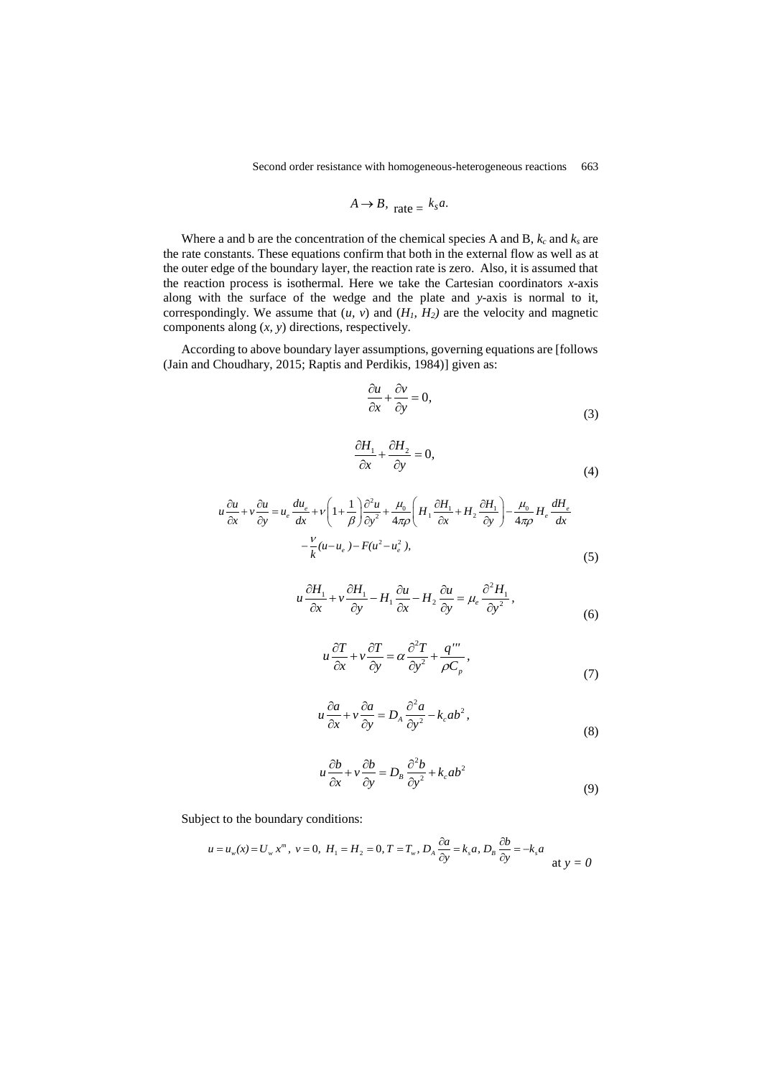$$
A \to B, \quad \text{rate} = \frac{k_s a}{}
$$

Where a and b are the concentration of the chemical species A and B, *k<sup>c</sup>* and *k<sup>s</sup>* are the rate constants. These equations confirm that both in the external flow as well as at the outer edge of the boundary layer, the reaction rate is zero. Also, it is assumed that the reaction process is isothermal. Here we take the Cartesian coordinators *x*-axis along with the surface of the wedge and the plate and *y*-axis is normal to it, correspondingly. We assume that  $(u, v)$  and  $(H_1, H_2)$  are the velocity and magnetic components along (*x, y*) directions, respectively.

According to above boundary layer assumptions, governing equations are [follows (Jain and Choudhary, 2015; Raptis and Perdikis, 1984)] given as:

$$
\frac{\partial u}{\partial x} + \frac{\partial v}{\partial y} = 0,\tag{3}
$$

$$
\frac{\partial H_1}{\partial x} + \frac{\partial H_2}{\partial y} = 0,\tag{4}
$$

(4)  
\n
$$
u \frac{\partial u}{\partial x} + v \frac{\partial u}{\partial y} = u_e \frac{du_e}{dx} + v \left( 1 + \frac{1}{\beta} \right) \frac{\partial^2 u}{\partial y^2} + \frac{\mu_0}{4\pi \rho} \left( H_1 \frac{\partial H_1}{\partial x} + H_2 \frac{\partial H_1}{\partial y} \right) - \frac{\mu_0}{4\pi \rho} H_e \frac{dH_e}{dx}
$$
\n
$$
- \frac{v}{k} (u - u_e) - F(u^2 - u_e^2),
$$
\n(5)

$$
u\frac{\partial H_1}{\partial x} + v\frac{\partial H_1}{\partial y} - H_1\frac{\partial u}{\partial x} - H_2\frac{\partial u}{\partial y} = \mu_e \frac{\partial^2 H_1}{\partial y^2},
$$
(6)

$$
u\frac{\partial T}{\partial x} + v\frac{\partial T}{\partial y} = \alpha \frac{\partial^2 T}{\partial y^2} + \frac{q'''}{\rho C_p},
$$
\n(7)

$$
u\frac{\partial a}{\partial x} + v\frac{\partial a}{\partial y} = D_A \frac{\partial^2 a}{\partial y^2} - k_c ab^2,
$$
\n(8)

$$
u\frac{\partial b}{\partial x} + v\frac{\partial b}{\partial y} = D_B \frac{\partial^2 b}{\partial y^2} + k_c ab^2
$$
\n(9)

Subject to the boundary conditions:  
\n
$$
u = u_w(x) = U_w x^m
$$
,  $v = 0$ ,  $H_1 = H_2 = 0$ ,  $T = T_w$ ,  $D_A \frac{\partial a}{\partial y} = k_s a$ ,  $D_B \frac{\partial b}{\partial y} = -k_s a$  at  $y = 0$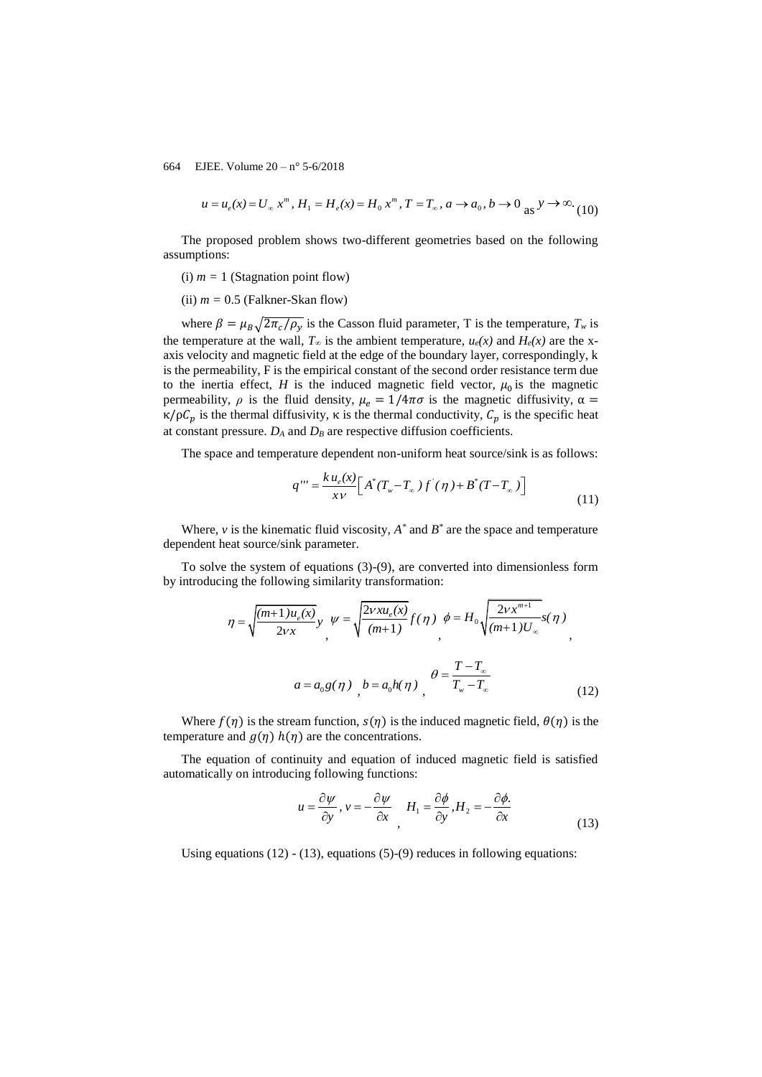$$
u = u_e(x) = U_{\infty} x^m, H_1 = H_e(x) = H_0 x^m, T = T_{\infty}, a \to a_0, b \to 0 \text{ as } y \to \infty.
$$
 (10)

The proposed problem shows two-different geometries based on the following assumptions:

- (i)  $m = 1$  (Stagnation point flow)
- (ii)  $m = 0.5$  (Falkner-Skan flow)

where  $\beta = \mu_B \sqrt{2\pi_c/\rho_y}$  is the Casson fluid parameter, T is the temperature,  $T_w$  is the temperature at the wall,  $T_{\infty}$  is the ambient temperature,  $u_e(x)$  and  $H_e(x)$  are the xaxis velocity and magnetic field at the edge of the boundary layer, correspondingly, k is the permeability, F is the empirical constant of the second order resistance term due to the inertia effect,  $H$  is the induced magnetic field vector,  $\mu_0$  is the magnetic permeability,  $\rho$  is the fluid density,  $\mu_e = 1/4\pi\sigma$  is the magnetic diffusivity,  $\alpha =$ κ/ρ $C_p$  is the thermal diffusivity, κ is the thermal conductivity,  $C_p$  is the specific heat at constant pressure.  $D_A$  and  $D_B$  are respective diffusion coefficients.

The space and temperature dependent non-uniform heat source/sink is as follows:  
\n
$$
q''' = \frac{k u_e(x)}{xv} \Big[ A^*(T_w - T_\infty) f'(\eta) + B^*(T - T_\infty) \Big]
$$
\n(11)

Where,  $\nu$  is the kinematic fluid viscosity,  $A^*$  and  $B^*$  are the space and temperature dependent heat source/sink parameter.

To solve the system of equations (3)-(9), are converted into dimensionless form by introducing the following similarity transformation:

$$
\eta = \sqrt{\frac{(m+1)u_e(x)}{2vx}}, \quad \psi = \sqrt{\frac{2vxu_e(x)}{(m+1)}}f(\eta) \quad \phi = H_0 \sqrt{\frac{2vx^{m+1}}{(m+1)U_{\infty}}}s(\eta)
$$
\n
$$
a = a_0 g(\eta) \quad b = a_0 h(\eta) \quad \theta = \frac{T - T_{\infty}}{T_w - T_{\infty}}
$$
\n(12)

Where  $f(\eta)$  is the stream function,  $s(\eta)$  is the induced magnetic field,  $\theta(\eta)$  is the temperature and  $g(\eta)$   $h(\eta)$  are the concentrations.

The equation of continuity and equation of induced magnetic field is satisfied automatically on introducing following functions:

$$
u = \frac{\partial \psi}{\partial y}, v = -\frac{\partial \psi}{\partial x}, H_1 = \frac{\partial \phi}{\partial y}, H_2 = -\frac{\partial \phi}{\partial x}.
$$
\n(13)

Using equations (12) - (13), equations (5)-(9) reduces in following equations: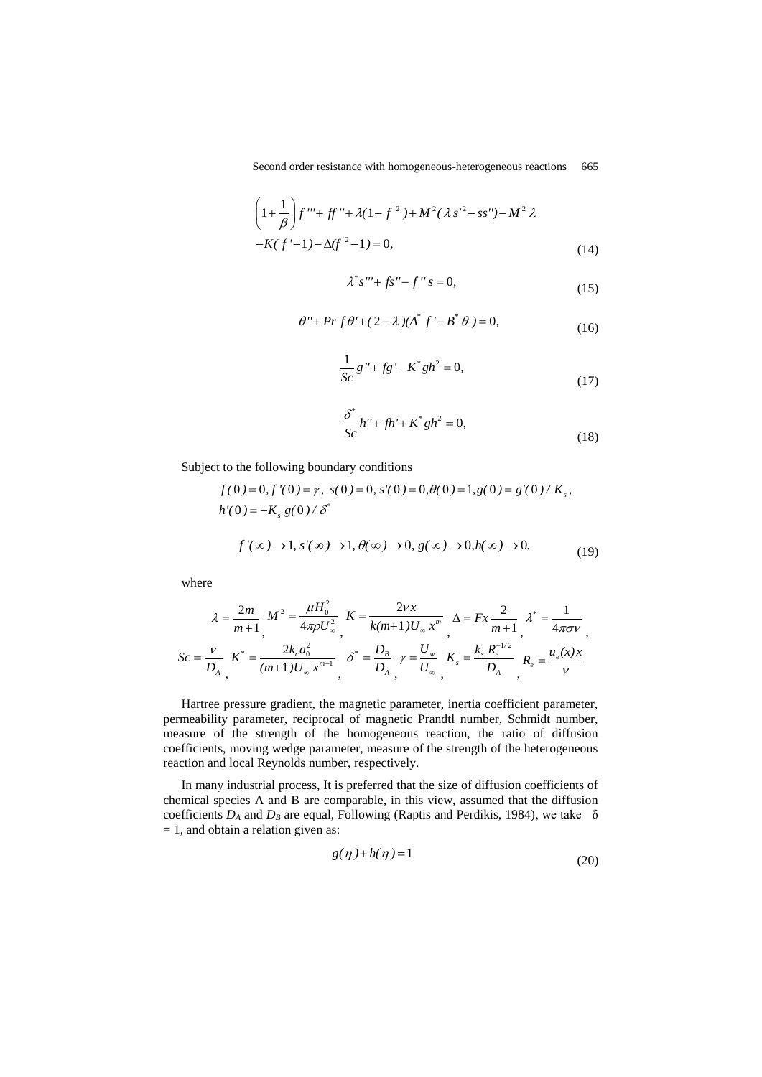Second order resistance with homogeneous-heterogeneous reactions 665

$$
\left(1+\frac{1}{\beta}\right)f''' + ff'' + \lambda(1-f^{2}) + M^{2}(\lambda s'^{2} - ss'') - M^{2}\lambda
$$
  
-K(f'-1) - \Delta(f'^{2}-1) = 0, (14)

$$
\lambda^* s''' + f s'' - f'' s = 0,
$$
\n(15)

$$
\theta'' + Pr f \theta' + (2 - \lambda)(A^* f' - B^* \theta) = 0,
$$
\n(16)

$$
\frac{1}{Sc}g'' + fg' - K^*gh^2 = 0,
$$
\n(17)

$$
\frac{\delta^*}{Sc}h'' + fh' + K^*gh^2 = 0,
$$
\n(18)

(19)

Subject to the following boundary conditions  
\n
$$
f(0) = 0, f'(0) = \gamma, s(0) = 0, s'(0) = 0, \theta(0) = 1, g(0) = g'(0) / K_s,
$$
\n
$$
h'(0) = -K_s g(0) / \delta^*
$$
\n
$$
f'(\infty) \to 1, s'(\infty) \to 1, \theta(\infty) \to 0, g(\infty) \to 0, h(\infty) \to 0.
$$

where

$$
\lambda = \frac{2m}{m+1}, \quad M^2 = \frac{\mu H_0^2}{4\pi \rho U_{\infty}^2}, \quad K = \frac{2vx}{k(m+1)U_{\infty}x^m}, \quad \Delta = Fx \frac{2}{m+1}, \quad \lambda^* = \frac{1}{4\pi \sigma v},
$$
\n
$$
Sc = \frac{v}{D_A}, \quad K^* = \frac{2k_c a_0^2}{(m+1)U_{\infty}x^{m-1}}, \quad \delta^* = \frac{D_B}{D_A}, \quad \gamma = \frac{U_w}{U_{\infty}}, \quad K_s = \frac{k_s R_e^{-1/2}}{D_A}, \quad R_e = \frac{u_e(x)x}{v}
$$

Hartree pressure gradient, the magnetic parameter, inertia coefficient parameter, permeability parameter, reciprocal of magnetic Prandtl number, Schmidt number, measure of the strength of the homogeneous reaction, the ratio of diffusion coefficients, moving wedge parameter, measure of the strength of the heterogeneous reaction and local Reynolds number, respectively.

In many industrial process, It is preferred that the size of diffusion coefficients of chemical species A and B are comparable, in this view, assumed that the diffusion coefficients  $D_A$  and  $D_B$  are equal, Following (Raptis and Perdikis, 1984), we take  $\delta$  $= 1$ , and obtain a relation given as:

$$
g(\eta) + h(\eta) = 1\tag{20}
$$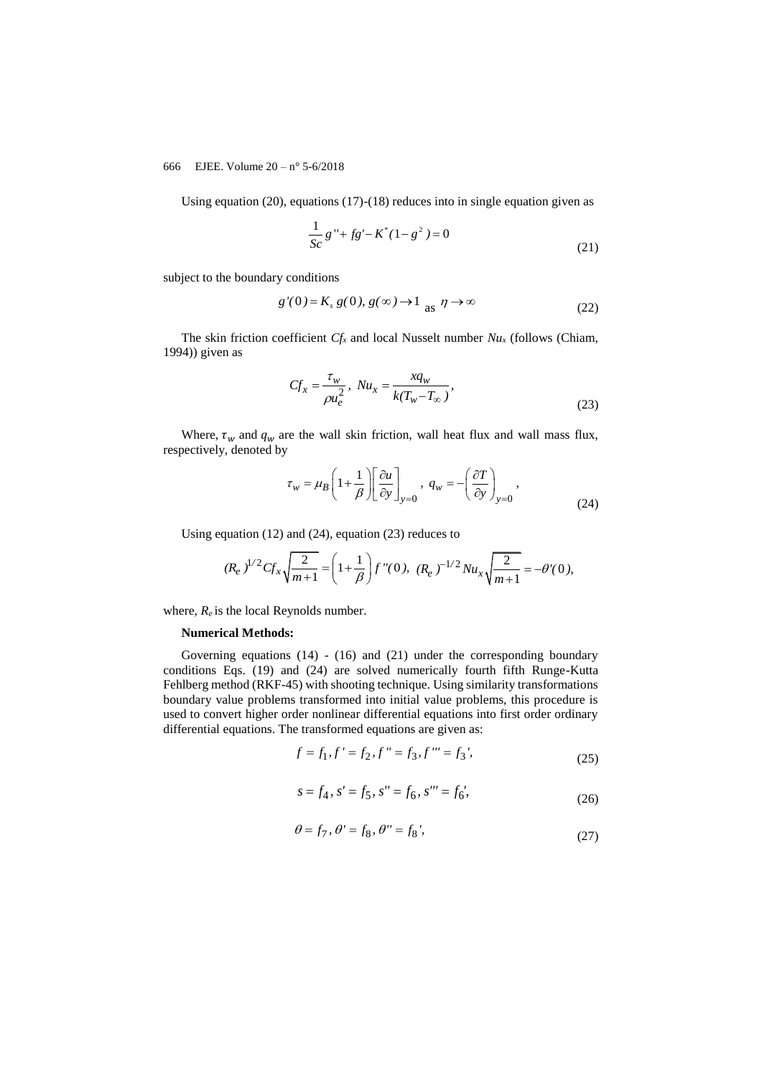Using equation (20), equations (17)-(18) reduces into in single equation given as

$$
\frac{1}{Sc}g'' + fg' - K^*(1 - g^2) = 0
$$
\n(21)

subject to the boundary conditions

$$
g'(0) = K_s g(0), g(\infty) \to 1 \text{ as } \eta \to \infty
$$
 (22)

The skin friction coefficient *Cf<sup>x</sup>* and local Nusselt number *Nu<sup>x</sup>* (follows (Chiam, 1994)) given as

$$
Cf_x = \frac{\tau_w}{\rho u_e^2}, \quad Nu_x = \frac{xq_w}{k(T_w - T_\infty)},
$$
\n(23)

Where,  $\tau_w$  and  $q_w$  are the wall skin friction, wall heat flux and wall mass flux, respectively, denoted by

$$
\tau_w = \mu_B \left( 1 + \frac{1}{\beta} \right) \left[ \frac{\partial u}{\partial y} \right]_{y=0}, \ q_w = -\left( \frac{\partial T}{\partial y} \right)_{y=0},
$$
\n(24)

Using equation (12) and (24), equation (23) reduces to

$$
(R_e)^{1/2} C f_x \sqrt{\frac{2}{m+1}} = \left(1 + \frac{1}{\beta}\right) f''(0), \ (R_e)^{-1/2} N u_x \sqrt{\frac{2}{m+1}} = -\theta'(0),
$$

where,  $R_e$  is the local Reynolds number.

#### **Numerical Methods:**

Governing equations (14) - (16) and (21) under the corresponding boundary conditions Eqs. (19) and (24) are solved numerically fourth fifth Runge-Kutta Fehlberg method (RKF-45) with shooting technique. Using similarity transformations boundary value problems transformed into initial value problems, this procedure is used to convert higher order nonlinear differential equations into first order ordinary differential equations. The transformed equations are given as:

$$
f = f_1, f' = f_2, f'' = f_3, f''' = f_3',
$$
\n(25)

$$
s = f_4, s' = f_5, s'' = f_6, s''' = f_6',
$$
\n(26)

$$
\theta = f_7, \ \theta' = f_8, \ \theta'' = f_8', \tag{27}
$$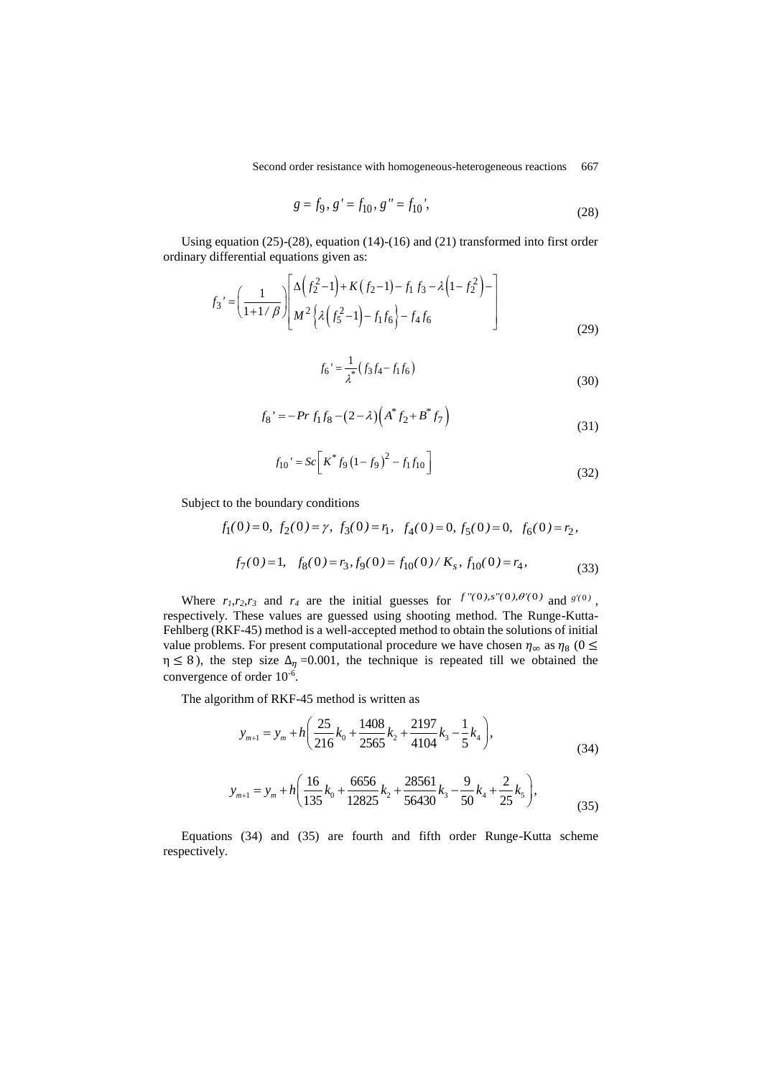Second order resistance with homogeneous-heterogeneous reactions 667

$$
g = f_9, \ g' = f_{10}, \ g'' = f_{10}', \tag{28}
$$

Using equation (25)-(28), equation (14)-(16) and (21) transformed into first order ordinary differential equations given as:

differential equations given as:  
\n
$$
f_3' = \left(\frac{1}{1+1/\beta}\right) \left[\frac{\Delta \left(f_2^2 - 1\right) + K\left(f_2 - 1\right) - f_1 f_3 - \lambda \left(1 - f_2^2\right) - 1}{M^2 \left\{\lambda \left(f_5^2 - 1\right) - f_1 f_6\right\} - f_4 f_6}\right]
$$
\n(29)

$$
f_6' = \frac{1}{\lambda^*} \left( f_3 f_4 - f_1 f_6 \right) \tag{30}
$$

$$
f_8' = -Pr f_1 f_8 - (2 - \lambda) \left( A^* f_2 + B^* f_7 \right)
$$
\n(31)

$$
f_{10}' = Sc \left[ K^* f_9 \left( 1 - f_9 \right)^2 - f_1 f_{10} \right]
$$
 (32)

Subject to the boundary conditions

$$
f_1(0) = 0
$$
,  $f_2(0) = \gamma$ ,  $f_3(0) = r_1$ ,  $f_4(0) = 0$ ,  $f_5(0) = 0$ ,  $f_6(0) = r_2$ ,  
 $f_7(0) = 1$ ,  $f_8(0) = r_3$ ,  $f_9(0) = f_{10}(0) / K_s$ ,  $f_{10}(0) = r_4$ , (33)

Where  $r_1, r_2, r_3$  and  $r_4$  are the initial guesses for  $f''(0), s''(0), \theta'(0)$  and  $g'(0)$ , respectively. These values are guessed using shooting method. The Runge-Kutta-Fehlberg (RKF-45) method is a well-accepted method to obtain the solutions of initial value problems. For present computational procedure we have chosen  $\eta_{\infty}$  as  $\eta_8$  (0  $\leq$  $\eta \le 8$ ), the step size  $\Delta_{\eta} = 0.001$ , the technique is repeated till we obtained the convergence of order  $10^{-6}$ .

The algorithm of RKF-45 method is written as  
\n
$$
y_{m+1} = y_m + h \left( \frac{25}{216} k_0 + \frac{1408}{2565} k_2 + \frac{2197}{4104} k_3 - \frac{1}{5} k_4 \right),
$$
\n(34)

$$
y_{m+1} = y_m + h \left( \frac{16}{135} k_0 + \frac{6656}{12825} k_2 + \frac{28561}{56430} k_3 - \frac{9}{50} k_4 + \frac{2}{25} k_5 \right),\tag{35}
$$

Equations (34) and (35) are fourth and fifth order Runge-Kutta scheme respectively.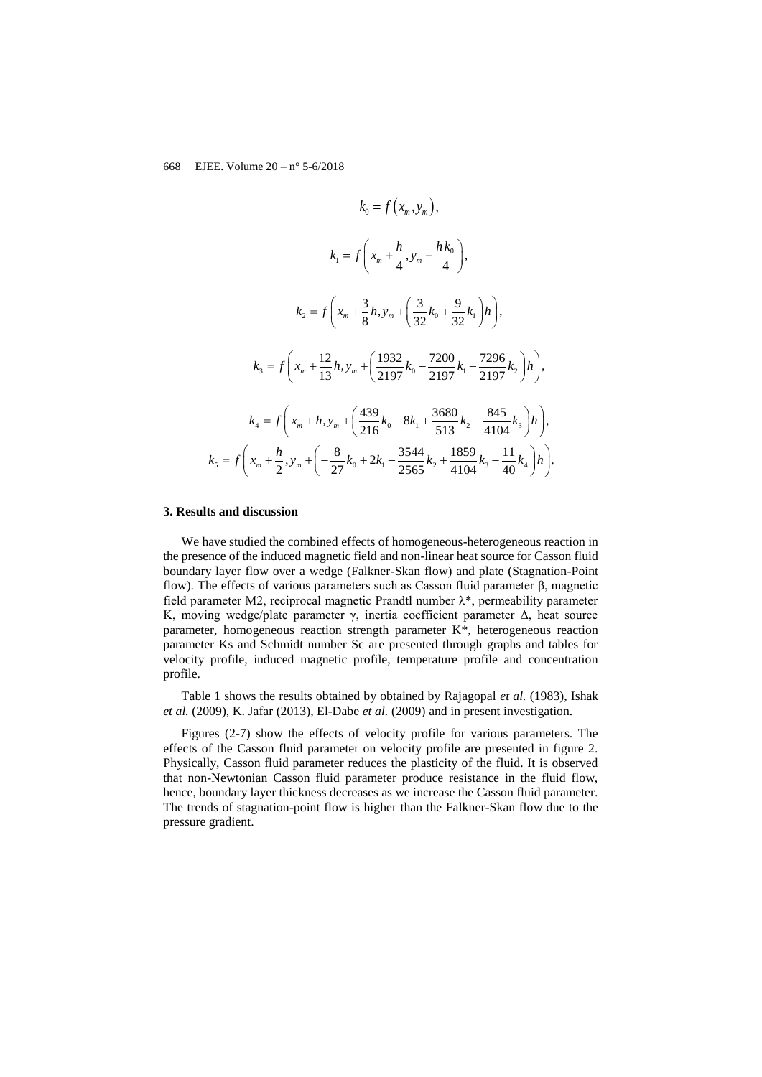$$
k_{0} = f(x_{m}, y_{m}),
$$
\n
$$
k_{1} = f\left(x_{m} + \frac{h}{4}, y_{m} + \frac{h k_{0}}{4}\right),
$$
\n
$$
k_{2} = f\left(x_{m} + \frac{3}{8}h, y_{m} + \left(\frac{3}{32}k_{0} + \frac{9}{32}k_{1}\right)h\right),
$$
\n
$$
k_{3} = f\left(x_{m} + \frac{12}{13}h, y_{m} + \left(\frac{1932}{2197}k_{0} - \frac{7200}{2197}k_{1} + \frac{7296}{2197}k_{2}\right)h\right),
$$
\n
$$
k_{4} = f\left(x_{m} + h, y_{m} + \left(\frac{439}{216}k_{0} - 8k_{1} + \frac{3680}{513}k_{2} - \frac{845}{4104}k_{3}\right)h\right),
$$
\n
$$
k_{5} = f\left(x_{m} + \frac{h}{2}, y_{m} + \left(-\frac{8}{27}k_{0} + 2k_{1} - \frac{3544}{2565}k_{2} + \frac{1859}{4104}k_{3} - \frac{11}{40}k_{4}\right)h\right).
$$

#### **3. Results and discussion**

We have studied the combined effects of homogeneous-heterogeneous reaction in the presence of the induced magnetic field and non-linear heat source for Casson fluid boundary layer flow over a wedge (Falkner-Skan flow) and plate (Stagnation-Point flow). The effects of various parameters such as Casson fluid parameter β, magnetic field parameter M2, reciprocal magnetic Prandtl number λ\*, permeability parameter K, moving wedge/plate parameter  $\gamma$ , inertia coefficient parameter  $\Delta$ , heat source parameter, homogeneous reaction strength parameter K\*, heterogeneous reaction parameter Ks and Schmidt number Sc are presented through graphs and tables for velocity profile, induced magnetic profile, temperature profile and concentration profile.

Table 1 shows the results obtained by obtained by Rajagopal *et al.* (1983), Ishak *et al.* (2009), K. Jafar (2013), El-Dabe *et al.* (2009) and in present investigation.

Figures (2-7) show the effects of velocity profile for various parameters. The effects of the Casson fluid parameter on velocity profile are presented in figure 2. Physically, Casson fluid parameter reduces the plasticity of the fluid. It is observed that non-Newtonian Casson fluid parameter produce resistance in the fluid flow, hence, boundary layer thickness decreases as we increase the Casson fluid parameter. The trends of stagnation-point flow is higher than the Falkner-Skan flow due to the pressure gradient.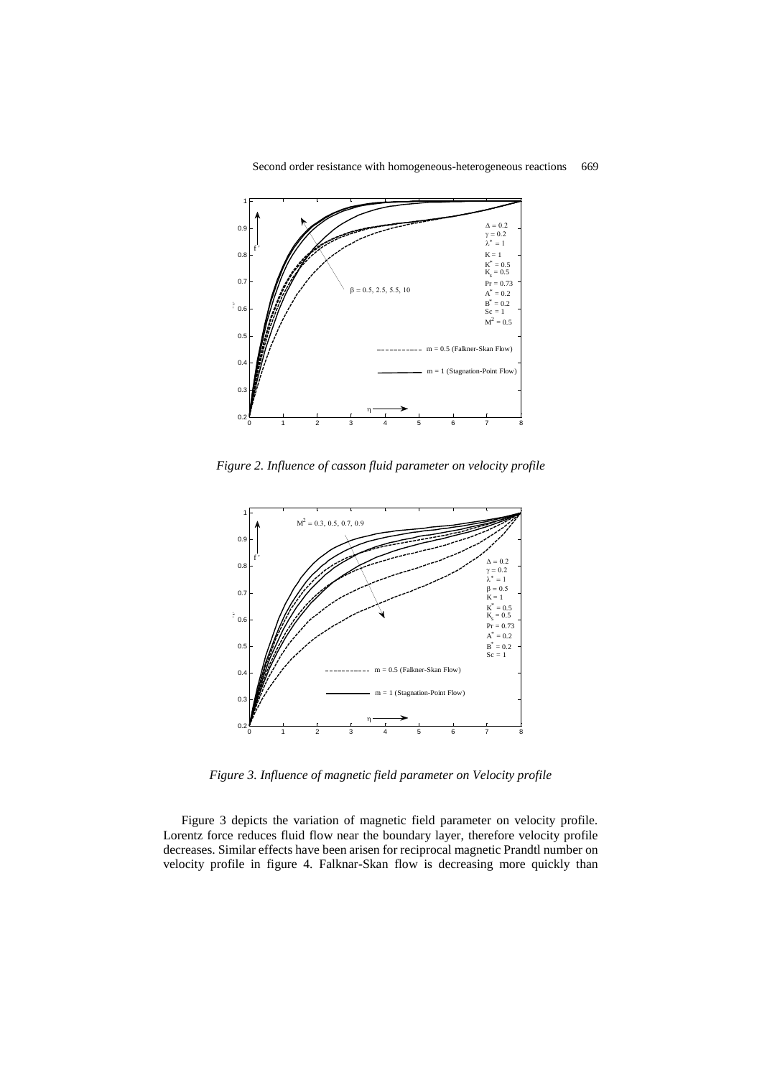

*Figure 2. Influence of casson fluid parameter on velocity profile*



*Figure 3. Influence of magnetic field parameter on Velocity profile*

Figure 3 depicts the variation of magnetic field parameter on velocity profile. Lorentz force reduces fluid flow near the boundary layer, therefore velocity profile decreases. Similar effects have been arisen for reciprocal magnetic Prandtl number on velocity profile in figure 4. Falknar-Skan flow is decreasing more quickly than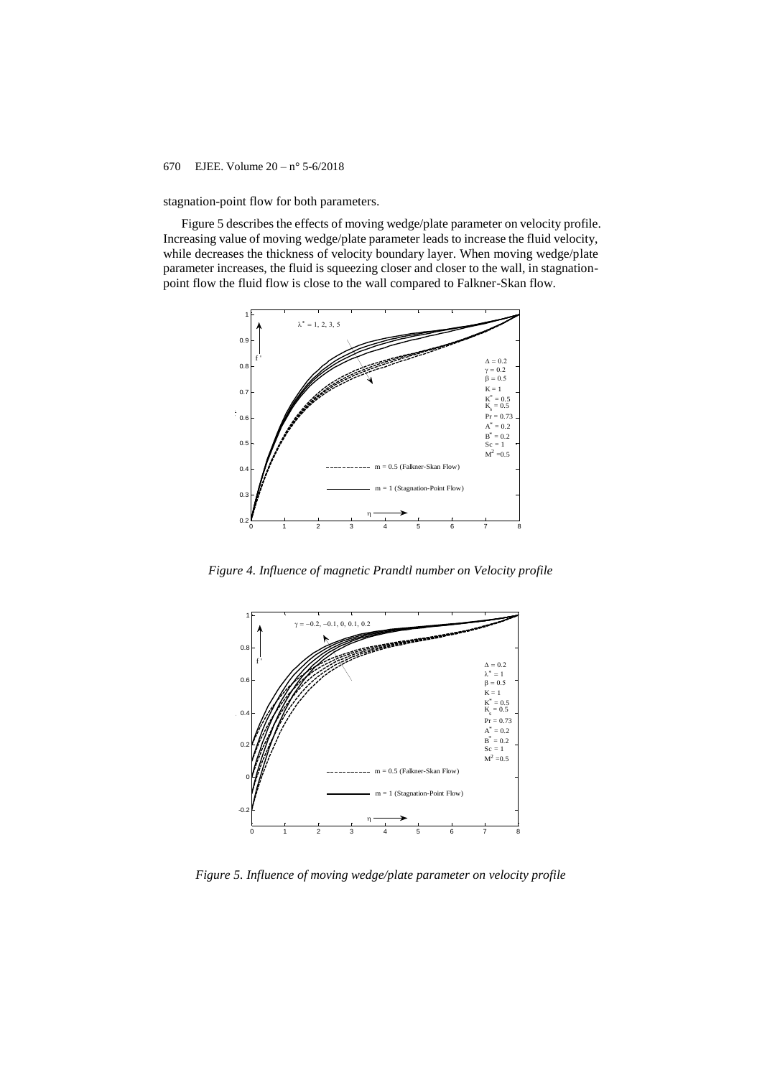stagnation-point flow for both parameters.

Figure 5 describes the effects of moving wedge/plate parameter on velocity profile. Increasing value of moving wedge/plate parameter leads to increase the fluid velocity, while decreases the thickness of velocity boundary layer. When moving wedge/plate parameter increases, the fluid is squeezing closer and closer to the wall, in stagnationpoint flow the fluid flow is close to the wall compared to Falkner-Skan flow.



*Figure 4. Influence of magnetic Prandtl number on Velocity profile*



*Figure 5. Influence of moving wedge/plate parameter on velocity profile*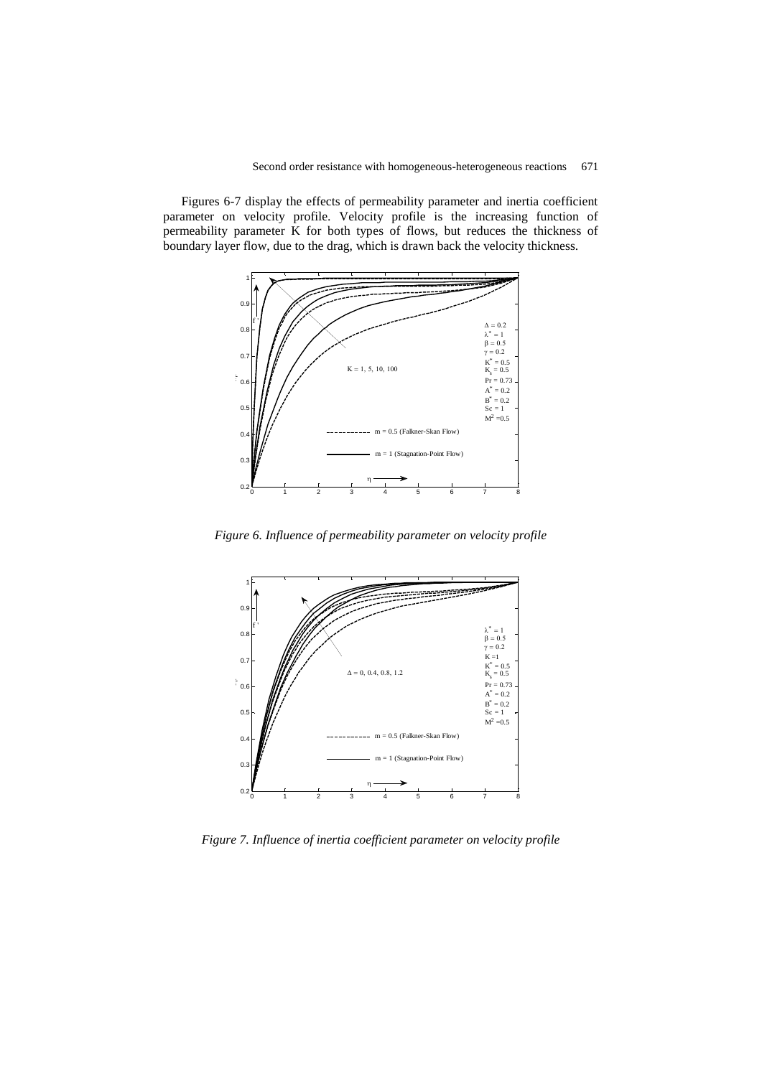Figures 6-7 display the effects of permeability parameter and inertia coefficient parameter on velocity profile. Velocity profile is the increasing function of permeability parameter  $\overrightarrow{K}$  for both types of flows, but reduces the thickness of boundary layer flow, due to the drag, which is drawn back the velocity thickness.



*Figure 6. Influence of permeability parameter on velocity profile*



*Figure 7. Influence of inertia coefficient parameter on velocity profile*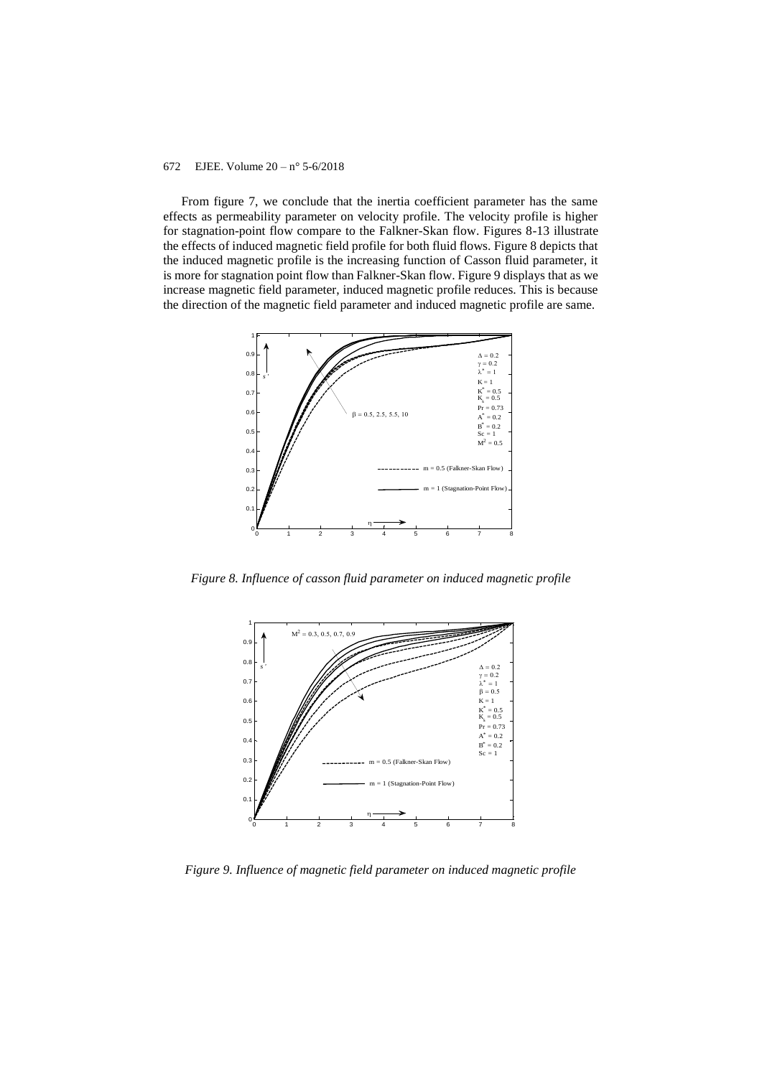From figure 7, we conclude that the inertia coefficient parameter has the same effects as permeability parameter on velocity profile. The velocity profile is higher for stagnation-point flow compare to the Falkner-Skan flow. Figures 8-13 illustrate the effects of induced magnetic field profile for both fluid flows. Figure 8 depicts that the induced magnetic profile is the increasing function of Casson fluid parameter, it is more for stagnation point flow than Falkner-Skan flow. Figure 9 displays that as we increase magnetic field parameter, induced magnetic profile reduces. This is because the direction of the magnetic field parameter and induced magnetic profile are same.



*Figure 8. Influence of casson fluid parameter on induced magnetic profile*



*Figure 9. Influence of magnetic field parameter on induced magnetic profile*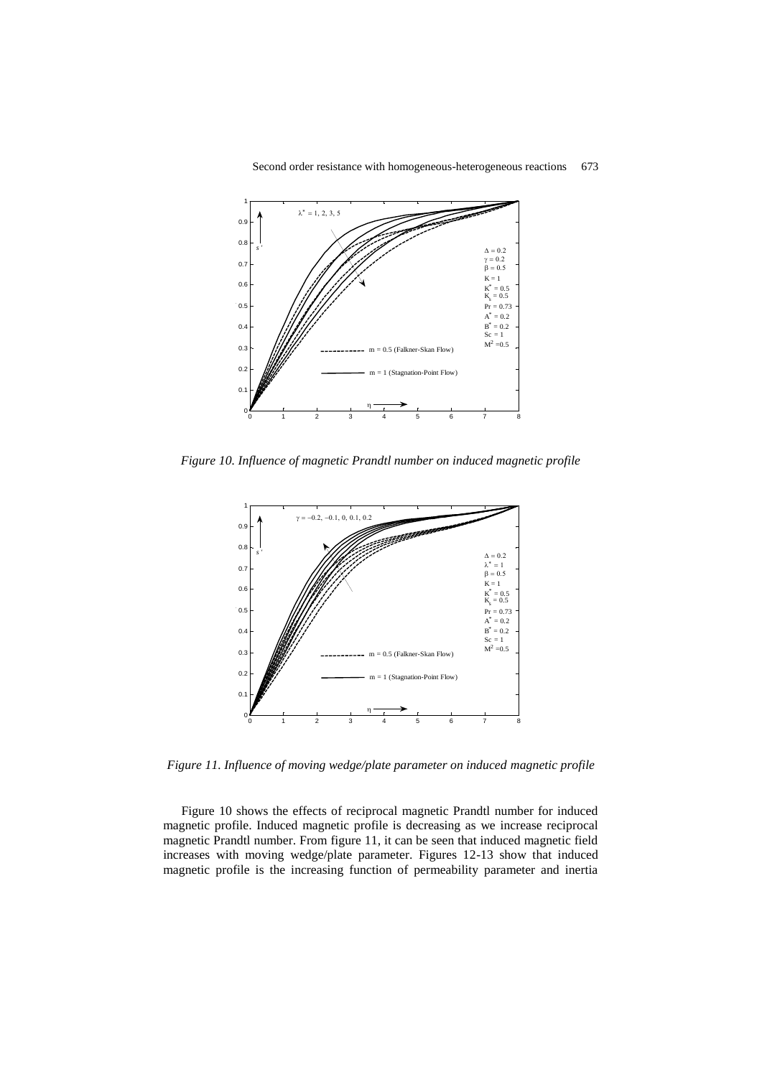

*Figure 10. Influence of magnetic Prandtl number on induced magnetic profile*



*Figure 11. Influence of moving wedge/plate parameter on induced magnetic profile*

Figure 10 shows the effects of reciprocal magnetic Prandtl number for induced magnetic profile. Induced magnetic profile is decreasing as we increase reciprocal magnetic Prandtl number. From figure 11, it can be seen that induced magnetic field increases with moving wedge/plate parameter. Figures 12-13 show that induced magnetic profile is the increasing function of permeability parameter and inertia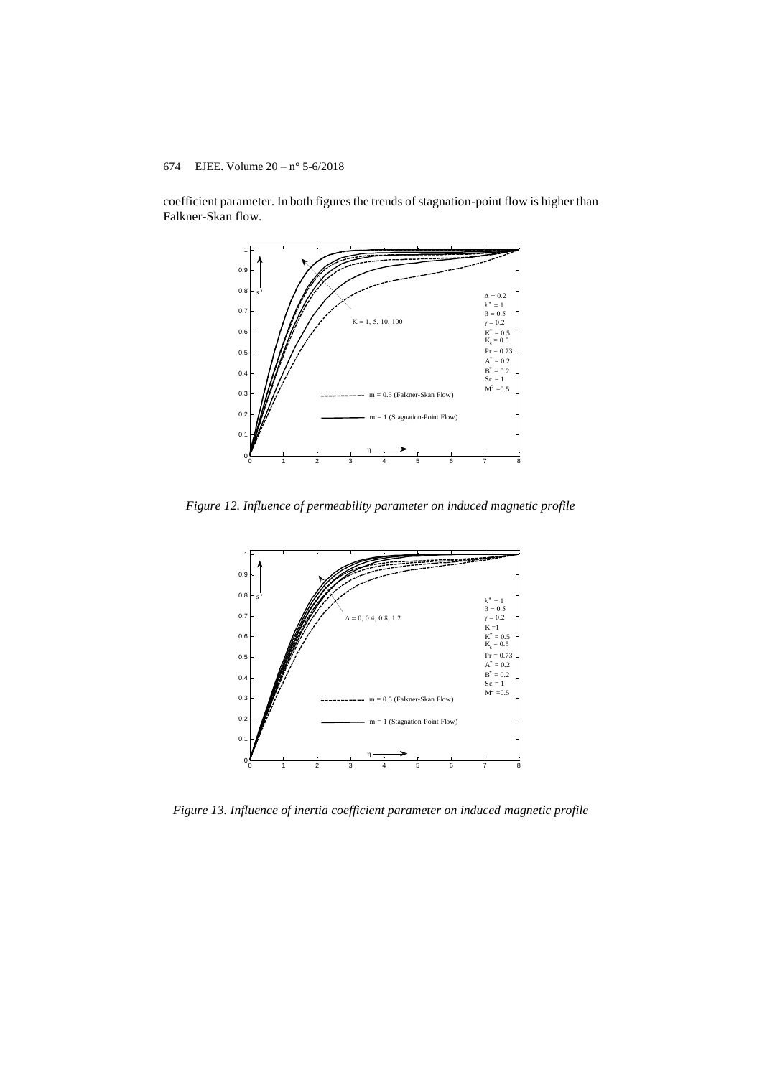## 674 EJEE. Volume  $20 - n^{\circ} 5 - 6/2018$

coefficient parameter. In both figures the trends of stagnation-point flow is higher than Falkner-Skan flow.



*Figure 12. Influence of permeability parameter on induced magnetic profile*



*Figure 13. Influence of inertia coefficient parameter on induced magnetic profile*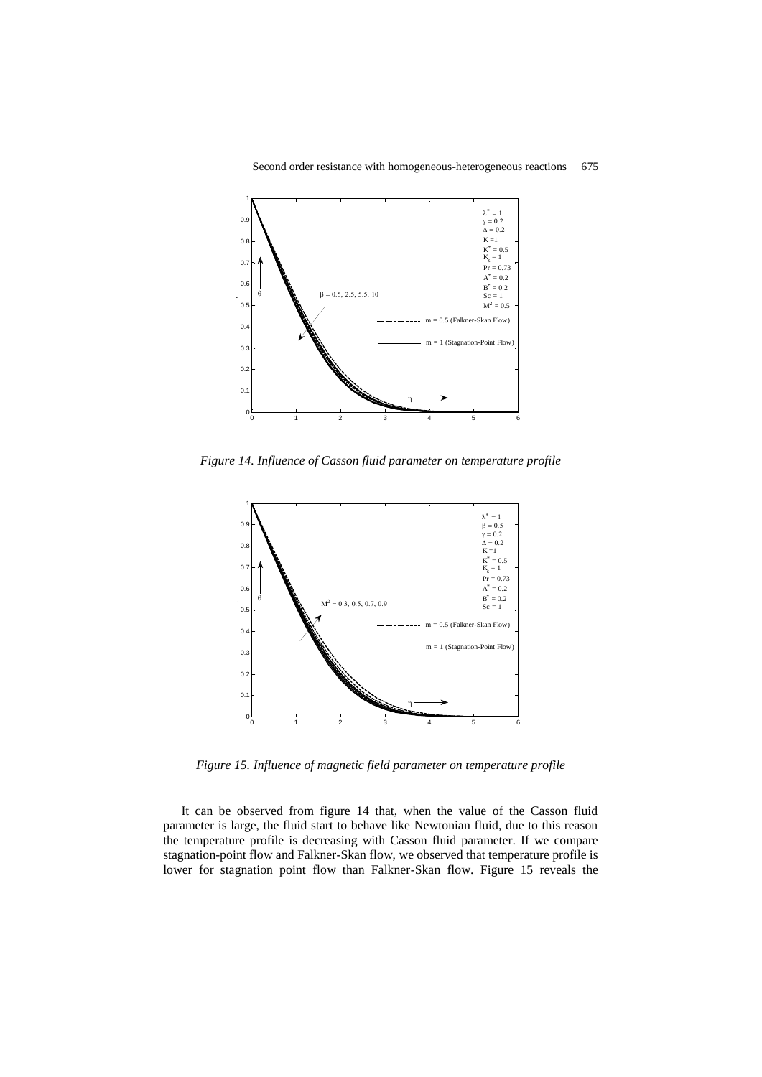



*Figure 14. Influence of Casson fluid parameter on temperature profile*



*Figure 15. Influence of magnetic field parameter on temperature profile*

It can be observed from figure 14 that, when the value of the Casson fluid parameter is large, the fluid start to behave like Newtonian fluid, due to this reason the temperature profile is decreasing with Casson fluid parameter. If we compare stagnation-point flow and Falkner-Skan flow, we observed that temperature profile is lower for stagnation point flow than Falkner-Skan flow. Figure 15 reveals the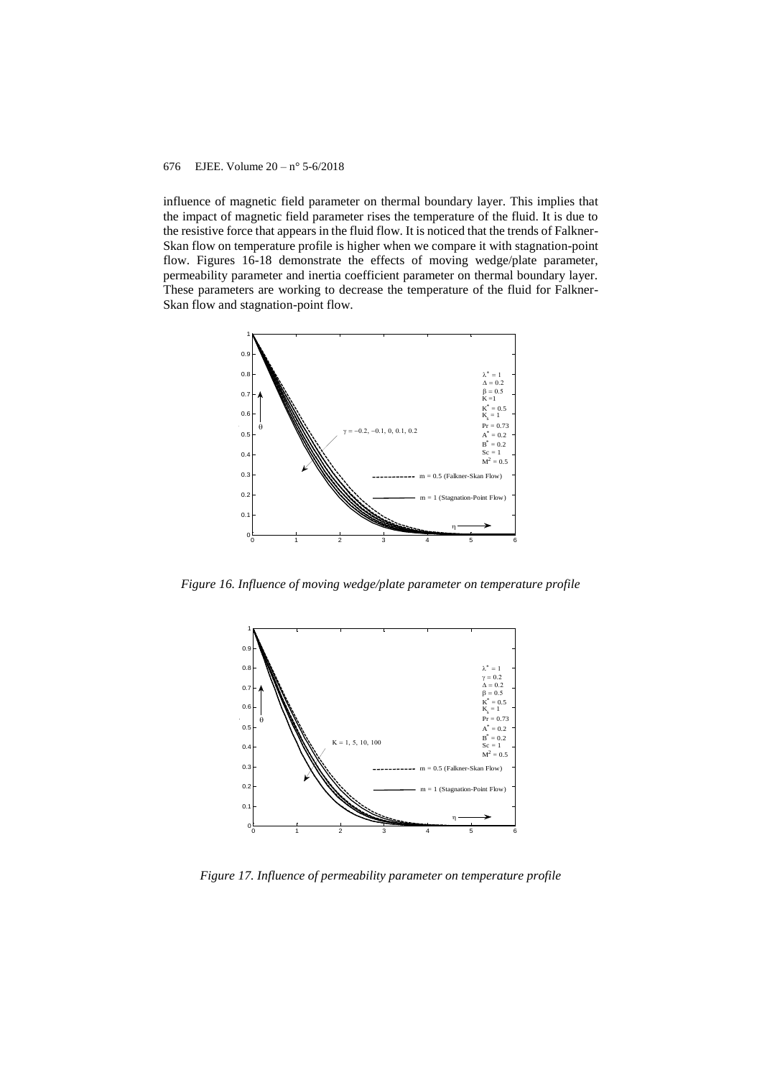influence of magnetic field parameter on thermal boundary layer. This implies that the impact of magnetic field parameter rises the temperature of the fluid. It is due to the resistive force that appears in the fluid flow. It is noticed that the trends of Falkner-Skan flow on temperature profile is higher when we compare it with stagnation-point flow. Figures 16-18 demonstrate the effects of moving wedge/plate parameter, permeability parameter and inertia coefficient parameter on thermal boundary layer. These parameters are working to decrease the temperature of the fluid for Falkner-Skan flow and stagnation-point flow.



*Figure 16. Influence of moving wedge/plate parameter on temperature profile*



*Figure 17. Influence of permeability parameter on temperature profile*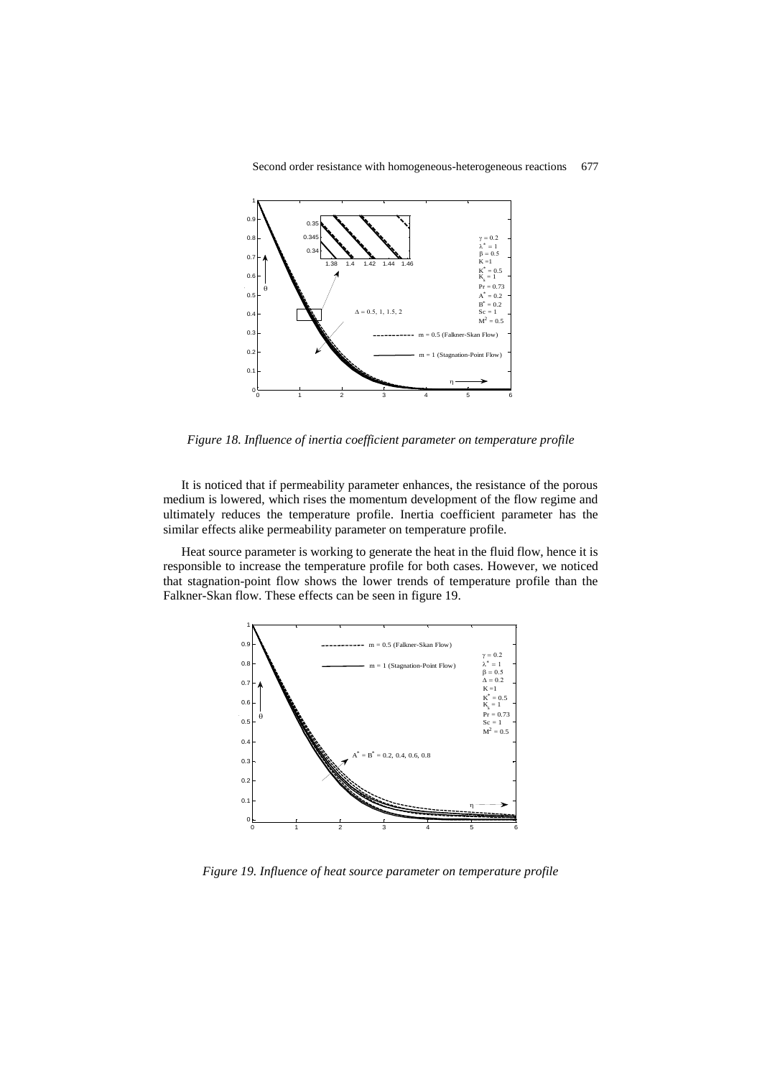



*Figure 18. Influence of inertia coefficient parameter on temperature profile*

It is noticed that if permeability parameter enhances, the resistance of the porous medium is lowered, which rises the momentum development of the flow regime and ultimately reduces the temperature profile. Inertia coefficient parameter has the similar effects alike permeability parameter on temperature profile.

Heat source parameter is working to generate the heat in the fluid flow, hence it is responsible to increase the temperature profile for both cases. However, we noticed that stagnation-point flow shows the lower trends of temperature profile than the Falkner-Skan flow. These effects can be seen in figure 19.



*Figure 19. Influence of heat source parameter on temperature profile*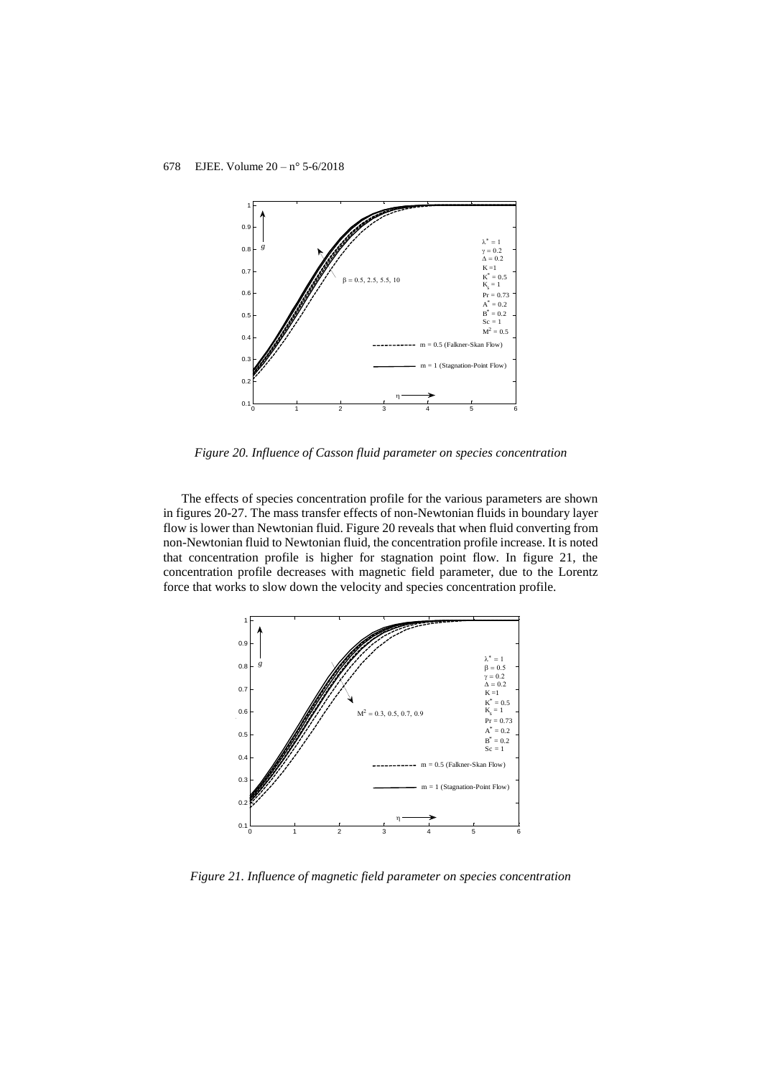

*Figure 20. Influence of Casson fluid parameter on species concentration*

The effects of species concentration profile for the various parameters are shown in figures 20-27. The mass transfer effects of non-Newtonian fluids in boundary layer flow is lower than Newtonian fluid. Figure 20 reveals that when fluid converting from non-Newtonian fluid to Newtonian fluid, the concentration profile increase. It is noted that concentration profile is higher for stagnation point flow. In figure 21, the concentration profile decreases with magnetic field parameter, due to the Lorentz force that works to slow down the velocity and species concentration profile.



*Figure 21. Influence of magnetic field parameter on species concentration*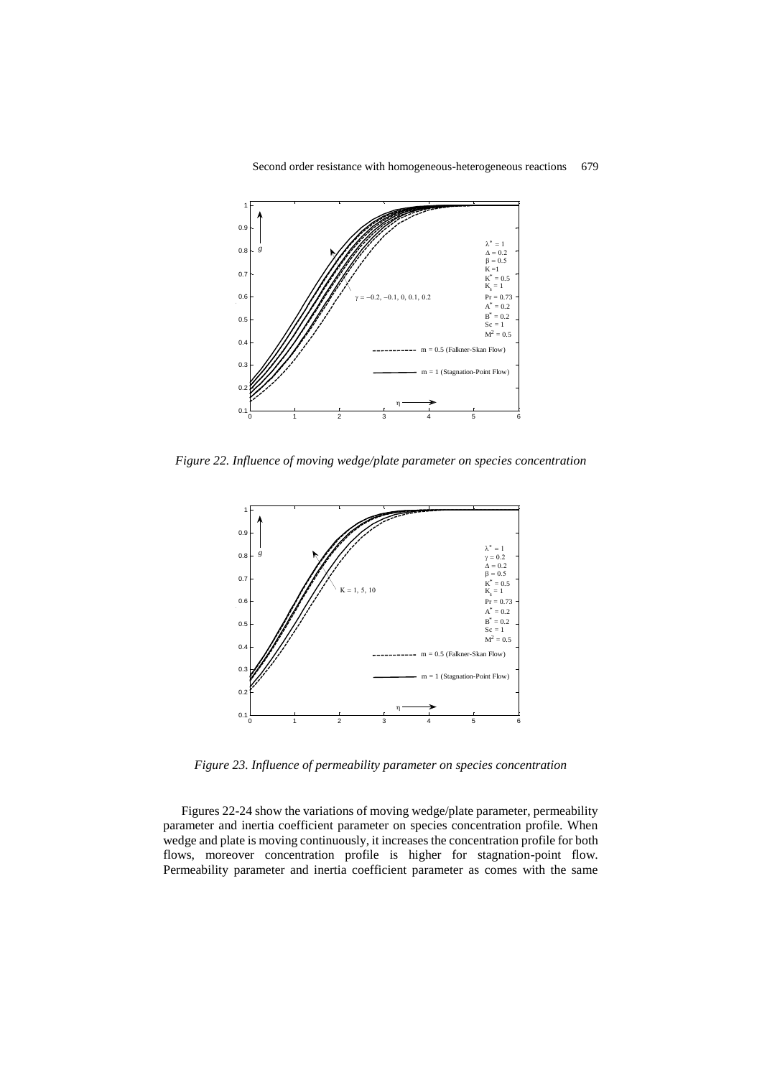

Second order resistance with homogeneous-heterogeneous reactions 679

*Figure 22. Influence of moving wedge/plate parameter on species concentration*



*Figure 23. Influence of permeability parameter on species concentration*

Figures 22-24 show the variations of moving wedge/plate parameter, permeability parameter and inertia coefficient parameter on species concentration profile. When wedge and plate is moving continuously, it increases the concentration profile for both flows, moreover concentration profile is higher for stagnation-point flow. Permeability parameter and inertia coefficient parameter as comes with the same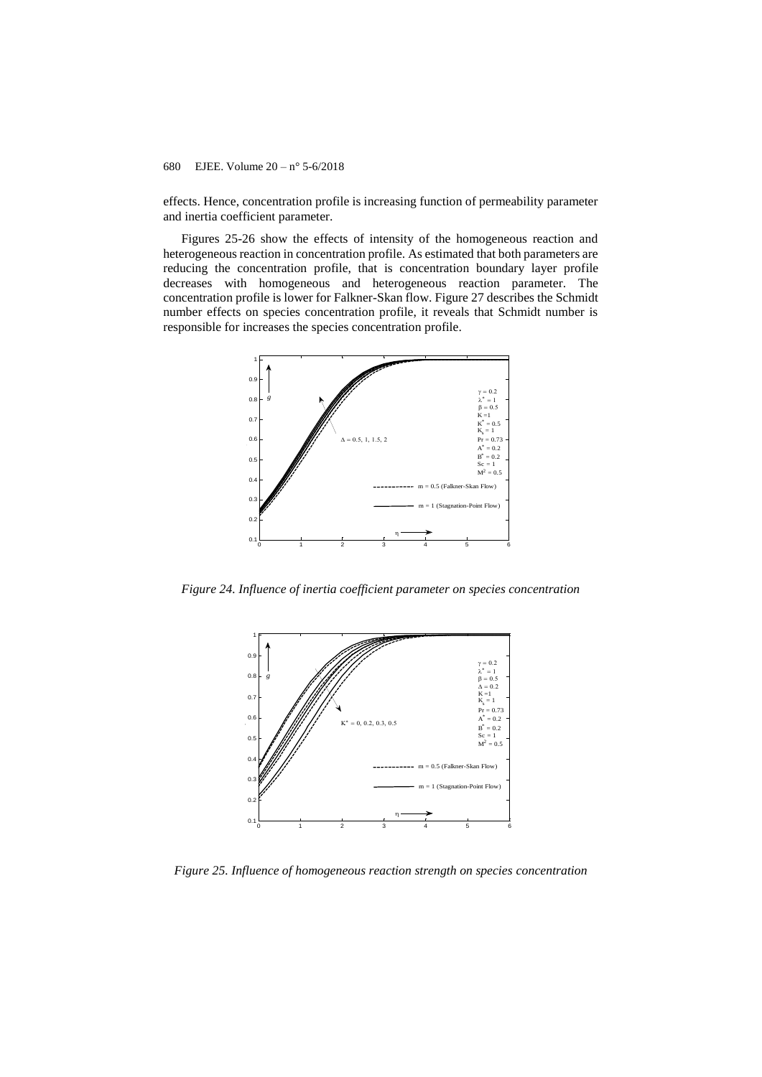effects. Hence, concentration profile is increasing function of permeability parameter and inertia coefficient parameter.

Figures 25-26 show the effects of intensity of the homogeneous reaction and heterogeneous reaction in concentration profile. As estimated that both parameters are reducing the concentration profile, that is concentration boundary layer profile decreases with homogeneous and heterogeneous reaction parameter. The concentration profile is lower for Falkner-Skan flow. Figure 27 describes the Schmidt number effects on species concentration profile, it reveals that Schmidt number is responsible for increases the species concentration profile.



*Figure 24. Influence of inertia coefficient parameter on species concentration*



*Figure 25. Influence of homogeneous reaction strength on species concentration*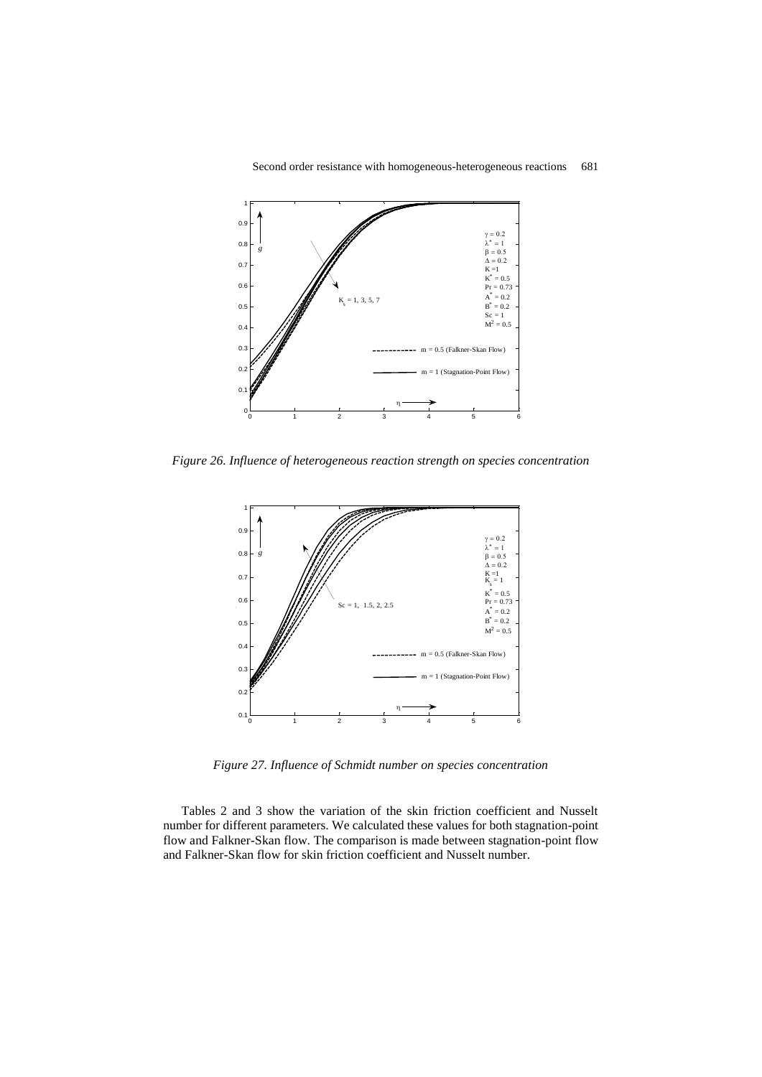

*Figure 26. Influence of heterogeneous reaction strength on species concentration*



*Figure 27. Influence of Schmidt number on species concentration*

Tables 2 and 3 show the variation of the skin friction coefficient and Nusselt number for different parameters. We calculated these values for both stagnation-point flow and Falkner-Skan flow. The comparison is made between stagnation-point flow and Falkner-Skan flow for skin friction coefficient and Nusselt number.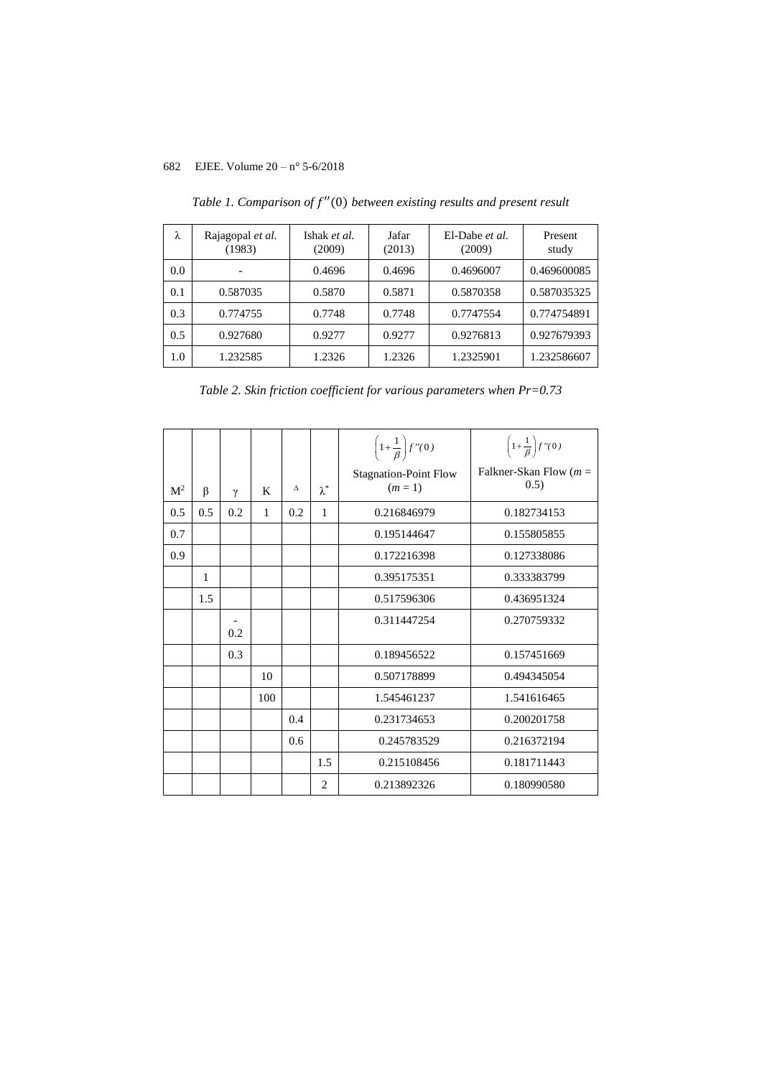| λ   | Rajagopal et al.<br>(1983) | Ishak et al.<br>(2009) | Jafar<br>(2013) | El-Dabe et al.<br>(2009) | Present<br>study |
|-----|----------------------------|------------------------|-----------------|--------------------------|------------------|
| 0.0 |                            | 0.4696                 | 0.4696          | 0.4696007                | 0.469600085      |
| 0.1 | 0.587035                   | 0.5870                 | 0.5871          | 0.5870358                | 0.587035325      |
| 0.3 | 0.774755                   | 0.7748                 | 0.7748          | 0.7747554                | 0.774754891      |
| 0.5 | 0.927680                   | 0.9277                 | 0.9277          | 0.9276813                | 0.927679393      |
| 1.0 | 1.232585                   | 1.2326                 | 1.2326          | 1.2325901                | 1.232586607      |

*Table 1. Comparison of* ′′(0) *between existing results and present result*

*Table 2. Skin friction coefficient for various parameters when Pr=0.73*

|                |     |          |     |     |                | $\left(1+\frac{1}{\beta}\right)f''(0)$  | $\left(1+\frac{1}{\beta}\right)f''(0)$ |
|----------------|-----|----------|-----|-----|----------------|-----------------------------------------|----------------------------------------|
| M <sup>2</sup> | β   | $\gamma$ | K   | Δ   | $\lambda^*$    | <b>Stagnation-Point Flow</b><br>$(m=1)$ | Falkner-Skan Flow $(m =$<br>(0.5)      |
| 0.5            | 0.5 | 0.2      | 1   | 0.2 | 1              | 0.216846979                             | 0.182734153                            |
| 0.7            |     |          |     |     |                | 0.195144647                             | 0.155805855                            |
| 0.9            |     |          |     |     |                | 0.172216398                             | 0.127338086                            |
|                | 1   |          |     |     |                | 0.395175351                             | 0.333383799                            |
|                | 1.5 |          |     |     |                | 0.517596306                             | 0.436951324                            |
|                |     | 0.2      |     |     |                | 0.311447254                             | 0.270759332                            |
|                |     | 0.3      |     |     |                | 0.189456522                             | 0.157451669                            |
|                |     |          | 10  |     |                | 0.507178899                             | 0.494345054                            |
|                |     |          | 100 |     |                | 1.545461237                             | 1.541616465                            |
|                |     |          |     | 0.4 |                | 0.231734653                             | 0.200201758                            |
|                |     |          |     | 0.6 |                | 0.245783529                             | 0.216372194                            |
|                |     |          |     |     | 1.5            | 0.215108456                             | 0.181711443                            |
|                |     |          |     |     | $\overline{c}$ | 0.213892326                             | 0.180990580                            |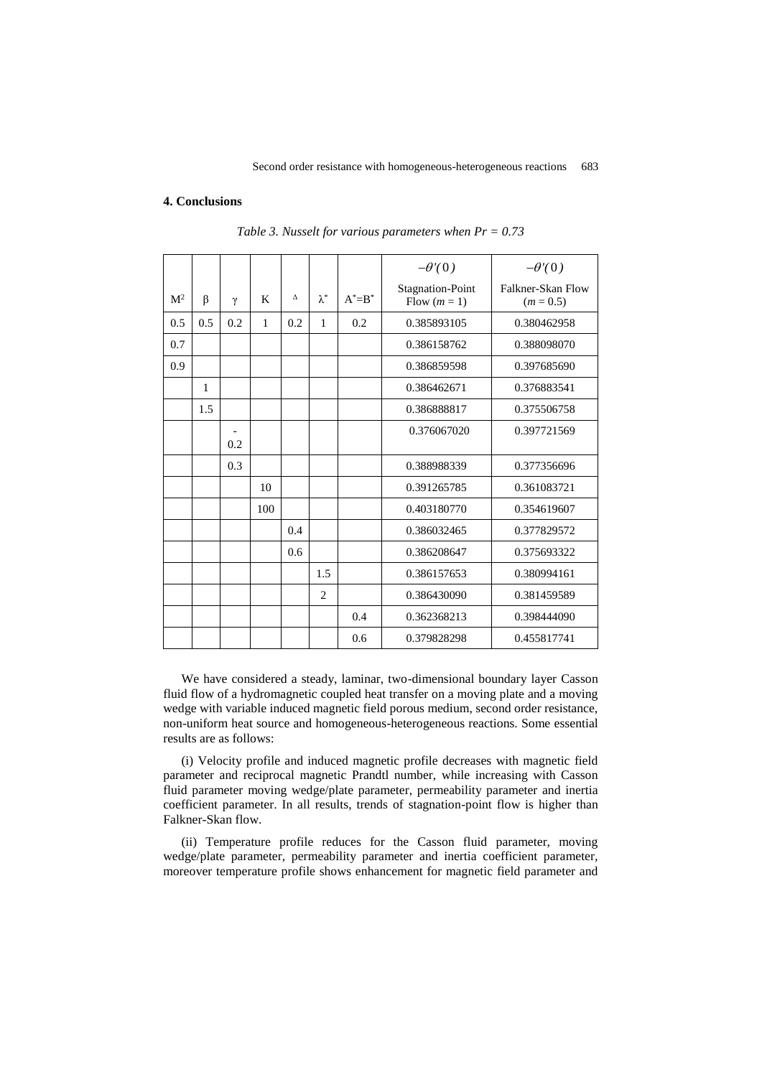#### **4. Conclusions**

|                |              |     |     |     |                |             | $-\theta(0)$                            | $-\theta(0)$                     |
|----------------|--------------|-----|-----|-----|----------------|-------------|-----------------------------------------|----------------------------------|
| M <sup>2</sup> | β            | γ   | K   | Δ   | $\lambda^*$    | $A^* = B^*$ | <b>Stagnation-Point</b><br>Flow $(m=1)$ | Falkner-Skan Flow<br>$(m = 0.5)$ |
| 0.5            | 0.5          | 0.2 | 1   | 0.2 | 1              | 0.2         | 0.385893105                             | 0.380462958                      |
| 0.7            |              |     |     |     |                |             | 0.386158762                             | 0.388098070                      |
| 0.9            |              |     |     |     |                |             | 0.386859598                             | 0.397685690                      |
|                | $\mathbf{1}$ |     |     |     |                |             | 0.386462671                             | 0.376883541                      |
|                | 1.5          |     |     |     |                |             | 0.386888817                             | 0.375506758                      |
|                |              | 0.2 |     |     |                |             | 0.376067020                             | 0.397721569                      |
|                |              | 0.3 |     |     |                |             | 0.388988339                             | 0.377356696                      |
|                |              |     | 10  |     |                |             | 0.391265785                             | 0.361083721                      |
|                |              |     | 100 |     |                |             | 0.403180770                             | 0.354619607                      |
|                |              |     |     | 0.4 |                |             | 0.386032465                             | 0.377829572                      |
|                |              |     |     | 0.6 |                |             | 0.386208647                             | 0.375693322                      |
|                |              |     |     |     | 1.5            |             | 0.386157653                             | 0.380994161                      |
|                |              |     |     |     | $\overline{2}$ |             | 0.386430090                             | 0.381459589                      |
|                |              |     |     |     |                | 0.4         | 0.362368213                             | 0.398444090                      |
|                |              |     |     |     |                | 0.6         | 0.379828298                             | 0.455817741                      |

*Table 3. Nusselt for various parameters when Pr = 0.73*

We have considered a steady, laminar, two-dimensional boundary layer Casson fluid flow of a hydromagnetic coupled heat transfer on a moving plate and a moving wedge with variable induced magnetic field porous medium, second order resistance, non-uniform heat source and homogeneous-heterogeneous reactions. Some essential results are as follows:

(i) Velocity profile and induced magnetic profile decreases with magnetic field parameter and reciprocal magnetic Prandtl number, while increasing with Casson fluid parameter moving wedge/plate parameter, permeability parameter and inertia coefficient parameter. In all results, trends of stagnation-point flow is higher than Falkner-Skan flow.

(ii) Temperature profile reduces for the Casson fluid parameter, moving wedge/plate parameter, permeability parameter and inertia coefficient parameter, moreover temperature profile shows enhancement for magnetic field parameter and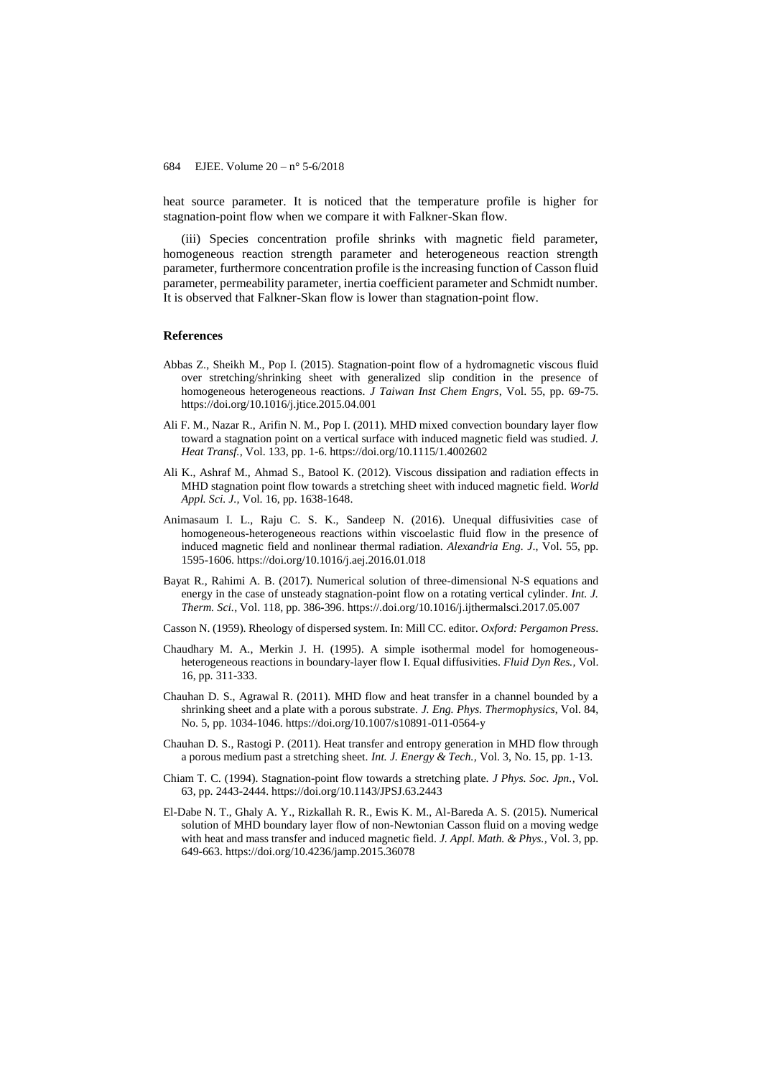heat source parameter. It is noticed that the temperature profile is higher for stagnation-point flow when we compare it with Falkner-Skan flow.

(iii) Species concentration profile shrinks with magnetic field parameter, homogeneous reaction strength parameter and heterogeneous reaction strength parameter, furthermore concentration profile is the increasing function of Casson fluid parameter, permeability parameter, inertia coefficient parameter and Schmidt number. It is observed that Falkner-Skan flow is lower than stagnation-point flow.

#### **References**

- Abbas Z., Sheikh M., Pop I. (2015). Stagnation-point flow of a hydromagnetic viscous fluid over stretching/shrinking sheet with generalized slip condition in the presence of homogeneous heterogeneous reactions. *J Taiwan Inst Chem Engrs*, Vol. 55, pp. 69-75. https://doi.org/10.1016/j.jtice.2015.04.001
- Ali F. M., Nazar R., Arifin N. M., Pop I. (2011). MHD mixed convection boundary layer flow toward a stagnation point on a vertical surface with induced magnetic field was studied. *J. Heat Transf.,* Vol. 133, pp. 1-6. https://doi.org/10.1115/1.4002602
- Ali K., Ashraf M., Ahmad S., Batool K. (2012). Viscous dissipation and radiation effects in MHD stagnation point flow towards a stretching sheet with induced magnetic field. *World Appl. Sci. J.,* Vol. 16, pp. 1638-1648.
- Animasaum I. L., Raju C. S. K., Sandeep N. (2016). Unequal diffusivities case of homogeneous-heterogeneous reactions within viscoelastic fluid flow in the presence of induced magnetic field and nonlinear thermal radiation. *Alexandria Eng. J*., Vol. 55, pp. 1595-1606. https://doi.org/10.1016/j.aej.2016.01.018
- Bayat R., Rahimi A. B. (2017). Numerical solution of three-dimensional N-S equations and energy in the case of unsteady stagnation-point flow on a rotating vertical cylinder. *Int. J. Therm. Sci.*, Vol. 118, pp. 386-396. https://.doi.org/10.1016/j.ijthermalsci.2017.05.007
- Casson N. (1959). Rheology of dispersed system. In: Mill CC. editor. *Oxford: Pergamon Press*.
- Chaudhary M. A., Merkin J. H. (1995). A simple isothermal model for homogeneousheterogeneous reactions in boundary-layer flow I. Equal diffusivities. *Fluid Dyn Res.,* Vol. 16, pp. 311-333.
- Chauhan D. S., Agrawal R. (2011). MHD flow and heat transfer in a channel bounded by a shrinking sheet and a plate with a porous substrate. *J. Eng. Phys. Thermophysics*, Vol. 84, No. 5, pp. 1034-1046. https://doi.org/10.1007/s10891-011-0564-y
- Chauhan D. S., Rastogi P. (2011). Heat transfer and entropy generation in MHD flow through a porous medium past a stretching sheet. *Int. J. Energy & Tech.,* Vol. 3, No. 15, pp. 1-13.
- Chiam T. C. (1994). Stagnation-point flow towards a stretching plate. *J Phys. Soc. Jpn.,* Vol. 63, pp. 2443-2444. https://doi.org/10.1143/JPSJ.63.2443
- El-Dabe N. T., Ghaly A. Y., Rizkallah R. R., Ewis K. M., Al-Bareda A. S. (2015). Numerical solution of MHD boundary layer flow of non-Newtonian Casson fluid on a moving wedge with heat and mass transfer and induced magnetic field. *J. Appl. Math. & Phys.,* Vol. 3, pp. 649-663. https://doi.org/10.4236/jamp.2015.36078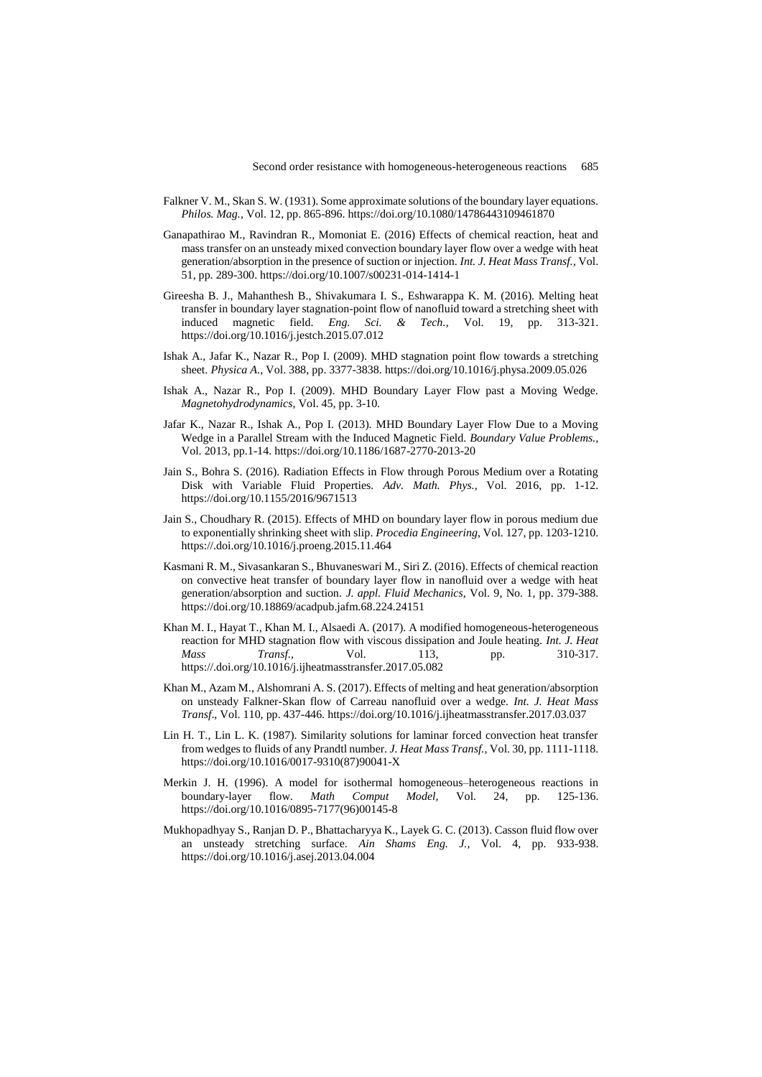- Falkner V. M., Skan S. W. (1931). Some approximate solutions of the boundary layer equations. *Philos. Mag.,* Vol. 12, pp. 865-896. https://doi.org/10.1080/14786443109461870
- Ganapathirao M., Ravindran R., Momoniat E. (2016) Effects of chemical reaction, heat and mass transfer on an unsteady mixed convection boundary layer flow over a wedge with heat generation/absorption in the presence of suction or injection. *Int. J. Heat Mass Transf.,* Vol. 51, pp. 289-300. https://doi.org/10.1007/s00231-014-1414-1
- Gireesha B. J., Mahanthesh B., Shivakumara I. S., Eshwarappa K. M. (2016). Melting heat transfer in boundary layer stagnation-point flow of nanofluid toward a stretching sheet with induced magnetic field. *Eng. Sci. & Tech.,* Vol. 19, pp. 313-321. https://doi.org/10.1016/j.jestch.2015.07.012
- Ishak A., Jafar K., Nazar R., Pop I. (2009). MHD stagnation point flow towards a stretching sheet. *Physica A*., Vol. 388, pp. 3377-3838. https://doi.org/10.1016/j.physa.2009.05.026
- Ishak A., Nazar R., Pop I. (2009). MHD Boundary Layer Flow past a Moving Wedge. *Magnetohydrodynamics*, Vol. 45, pp. 3-10.
- Jafar K., Nazar R., Ishak A., Pop I. (2013). MHD Boundary Layer Flow Due to a Moving Wedge in a Parallel Stream with the Induced Magnetic Field. *Boundary Value Problems.,* Vol. 2013, pp.1-14. https://doi.org/10.1186/1687-2770-2013-20
- Jain S., Bohra S. (2016). Radiation Effects in Flow through Porous Medium over a Rotating Disk with Variable Fluid Properties. *Adv. Math. Phys.,* Vol. 2016, pp. 1-12. https://doi.org/10.1155/2016/9671513
- Jain S., Choudhary R. (2015). Effects of MHD on boundary layer flow in porous medium due to exponentially shrinking sheet with slip. *Procedia Engineering*, Vol. 127, pp. 1203-1210. https://.doi.org/10.1016/j.proeng.2015.11.464
- Kasmani R. M., Sivasankaran S., Bhuvaneswari M., Siri Z. (2016). Effects of chemical reaction on convective heat transfer of boundary layer flow in nanofluid over a wedge with heat generation/absorption and suction. *J. appl. Fluid Mechanics*, Vol. 9, No. 1, pp. 379-388. https://doi.org/10.18869/acadpub.jafm.68.224.24151
- Khan M. I., Hayat T., Khan M. I., Alsaedi A. (2017). A modified homogeneous-heterogeneous reaction for MHD stagnation flow with viscous dissipation and Joule heating. *Int. J. Heat Mass Transf.,* Vol. 113, pp. 310-317. https://.doi.org/10.1016/j.ijheatmasstransfer.2017.05.082
- Khan M., Azam M., Alshomrani A. S. (2017). Effects of melting and heat generation/absorption on unsteady Falkner-Skan flow of Carreau nanofluid over a wedge. *Int. J. Heat Mass Transf*., Vol. 110, pp. 437-446. https://doi.org/10.1016/j.ijheatmasstransfer.2017.03.037
- Lin H. T., Lin L. K. (1987). Similarity solutions for laminar forced convection heat transfer from wedges to fluids of any Prandtl number. *J. Heat Mass Transf.,* Vol. 30, pp. 1111-1118. https://doi.org/10.1016/0017-9310(87)90041-X
- Merkin J. H. (1996). A model for isothermal homogeneous–heterogeneous reactions in boundary-layer flow. *Math Comput Model,* Vol. 24, pp. 125-136. https://doi.org/10.1016/0895-7177(96)00145-8
- Mukhopadhyay S., Ranjan D. P., Bhattacharyya K., Layek G. C. (2013). Casson fluid flow over an unsteady stretching surface. *Ain Shams Eng. J.,* Vol. 4, pp. 933-938. https://doi.org/10.1016/j.asej.2013.04.004